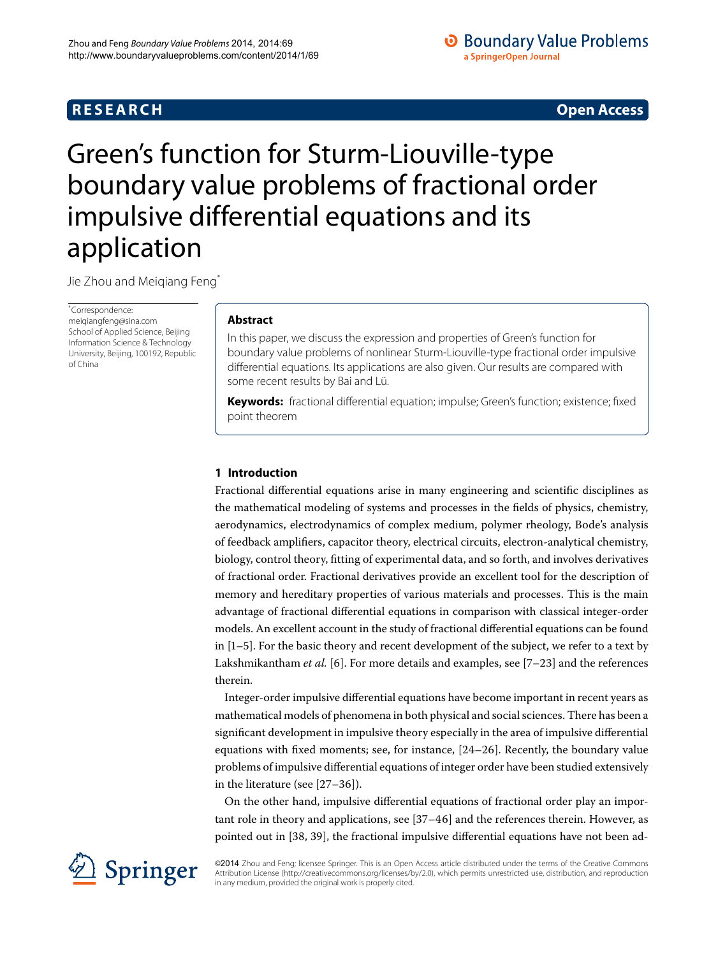# **R E S E A R C H Open Access**

# **O** Boundary Value Problems a SpringerOpen Journal

# <span id="page-0-0"></span>Green's function for Sturm-Liouville-type boundary value problems of fractional order impulsive differential equations and its application

Jie Zhou and Meiqiang Fen[g\\*](#page-0-0)

\* Correspondence: [meiqiangfeng@sina.com](mailto:meiqiangfeng@sina.com) School of Applied Science, Beijing Information Science & Technology University, Beijing, 100192, Republic of China

## **Abstract**

In this paper, we discuss the expression and properties of Green's function for boundary value problems of nonlinear Sturm-Liouville-type fractional order impulsive differential equations. Its applications are also given. Our results are compared with some recent results by Bai and Lü.

**Keywords:** fractional differential equation; impulse; Green's function; existence; fixed point theorem

# **1 Introduction**

Fractional differential equations arise in many engineering and scientific disciplines as the mathematical modeling of systems and processes in the fields of physics, chemistry, aerodynamics, electrodynamics of complex medium, polymer rheology, Bode's analysis of feedback amplifiers, capacitor theory, electrical circuits, electron-analytical chemistry, biology, control theory, fitting of experimental data, and so forth, and involves derivatives of fractional order. Fractional derivatives provide an excellent tool for the description of memory and hereditary properties of various materials and processes. This is the main advantage of fractional differential equations in comparison with classical integer-order models. An excellent account in the study of fractional differential equations can be found in  $[1-5]$  $[1-5]$ . For the basic theory and recent development of the subject, we refer to a text by Lakshmikantham *et al.* [\[](#page-19-2)6]. For more details and examples, see  $[7-23]$  and the references therein.

Integer-order impulsive differential equations have become important in recent years as mathematical models of phenomena in both physical and social sciences. There has been a significant development in impulsive theory especially in the area of impulsive differential equations with fixed moments; see, for instance,  $[24-26]$ . Recently, the boundary value problems of impulsive differential equations of integer order have been studied extensively in the literature (see  $[27-36]$  $[27-36]$ ).

On the other hand, impulsive differential equations of fractional order play an important role in theory and applications, see  $[37-46]$  $[37-46]$  and the references therein. However, as pointed out in [38[,](#page-19-9) 39[\]](#page-19-10), the fractional impulsive differential equations have not been ad-



©2014 Zhou and Feng; licensee Springer. This is an Open Access article distributed under the terms of the Creative Commons Attribution License [\(http://creativecommons.org/licenses/by/2.0](http://creativecommons.org/licenses/by/2.0)), which permits unrestricted use, distribution, and reproduction in any medium, provided the original work is properly cited.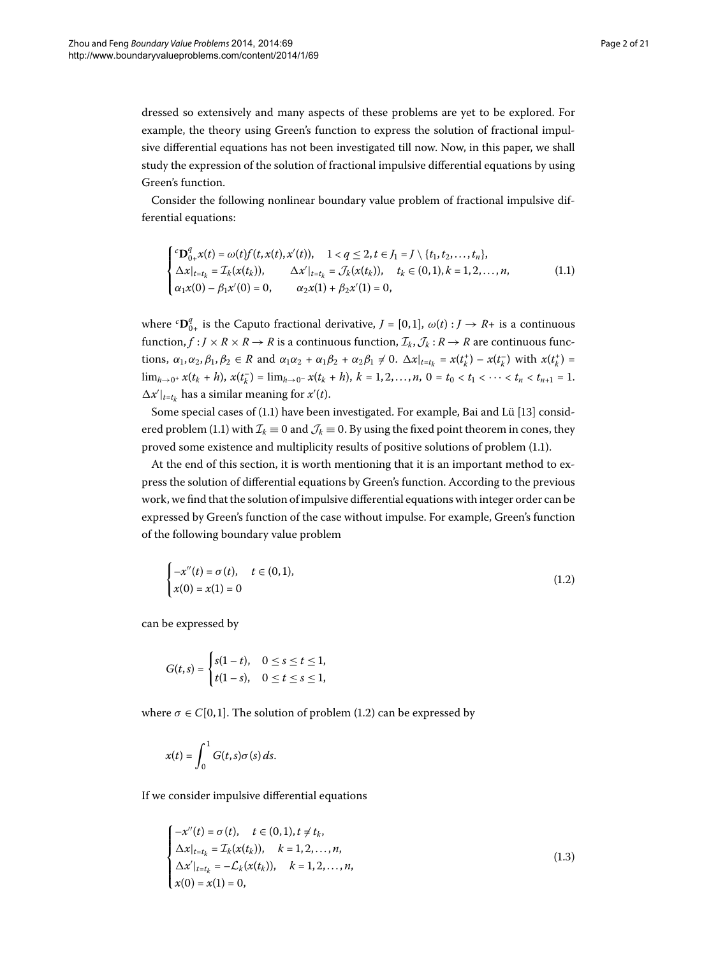dressed so extensively and many aspects of these problems are yet to be explored. For example, the theory using Green's function to express the solution of fractional impulsive differential equations has not been investigated till now. Now, in this paper, we shall study the expression of the solution of fractional impulsive differential equations by using Green's function.

Consider the following nonlinear boundary value problem of fractional impulsive differential equations:

<span id="page-1-0"></span>
$$
\begin{cases}^{c} \mathbf{D}_{0+}^{q} x(t) = \omega(t) f(t, x(t), x'(t)), & 1 < q \leq 2, t \in J_1 = J \setminus \{t_1, t_2, \ldots, t_n\}, \\ \Delta x|_{t=t_k} = \mathcal{I}_k(x(t_k)), & \Delta x'|_{t=t_k} = \mathcal{J}_k(x(t_k)), & t_k \in (0, 1), k = 1, 2, \ldots, n, \\ \alpha_1 x(0) - \beta_1 x'(0) = 0, & \alpha_2 x(1) + \beta_2 x'(1) = 0, \end{cases}
$$
(1.1)

where  ${}^{c}D_{0+}^{q}$  is the Caputo fractional derivative,  $J = [0, 1]$ ,  $\omega(t) : J \to R+$  is a continuous function,  $f : J \times R \times R \to R$  is a continuous function,  $\mathcal{I}_k, \mathcal{J}_k : R \to R$  are continuous functions,  $\alpha_1, \alpha_2, \beta_1, \beta_2 \in R$  and  $\alpha_1 \alpha_2 + \alpha_1 \beta_2 + \alpha_2 \beta_1 \neq 0$ .  $\Delta x|_{t=t_k} = x(t_k^+) - x(t_k^-)$  with  $x(t_k^+) =$  $\lim_{h\to 0^+} x(t_k + h), x(t_k^-) = \lim_{h\to 0^-} x(t_k + h), k = 1, 2, ..., n, 0 = t_0 < t_1 < \cdots < t_n < t_{n+1} = 1.$  $\Delta x'|_{t=t_k}$  has a similar meaning for  $x'(t)$ .

Some special cases of (1[.](#page-1-0)1) have been investigated. For example, Bai and Lü [13[\]](#page-19-11) consid-ered problem (1[.](#page-1-0)1) with  $\mathcal{I}_k \equiv 0$  and  $\mathcal{J}_k \equiv 0$ . By using the fixed point theorem in cones, they proved some existence and multiplicity results of positive solutions of problem (1[.](#page-1-0)1).

At the end of this section, it is worth mentioning that it is an important method to express the solution of differential equations by Green's function. According to the previous work, we find that the solution of impulsive differential equations with integer order can be expressed by Green's function of the case without impulse. For example, Green's function of the following boundary value problem

<span id="page-1-1"></span>
$$
\begin{cases}\n-x''(t) = \sigma(t), & t \in (0,1), \\
x(0) = x(1) = 0\n\end{cases}
$$
\n(1.2)

can be expressed by

$$
G(t,s)=\begin{cases} s(1-t), & 0\leq s\leq t\leq 1,\\ t(1-s), & 0\leq t\leq s\leq 1, \end{cases}
$$

where  $\sigma \in C[0,1]$ [.](#page-1-1) The solution of problem (1.2) can be expressed by

<span id="page-1-2"></span>
$$
x(t) = \int_0^1 G(t,s)\sigma(s)\,ds.
$$

If we consider impulsive differential equations

$$
\begin{cases}\n-x''(t) = \sigma(t), \quad t \in (0,1), t \neq t_k, \\
\Delta x|_{t=t_k} = \mathcal{I}_k(x(t_k)), \quad k = 1, 2, ..., n, \\
\Delta x'|_{t=t_k} = -\mathcal{L}_k(x(t_k)), \quad k = 1, 2, ..., n, \\
x(0) = x(1) = 0,\n\end{cases}
$$
\n(1.3)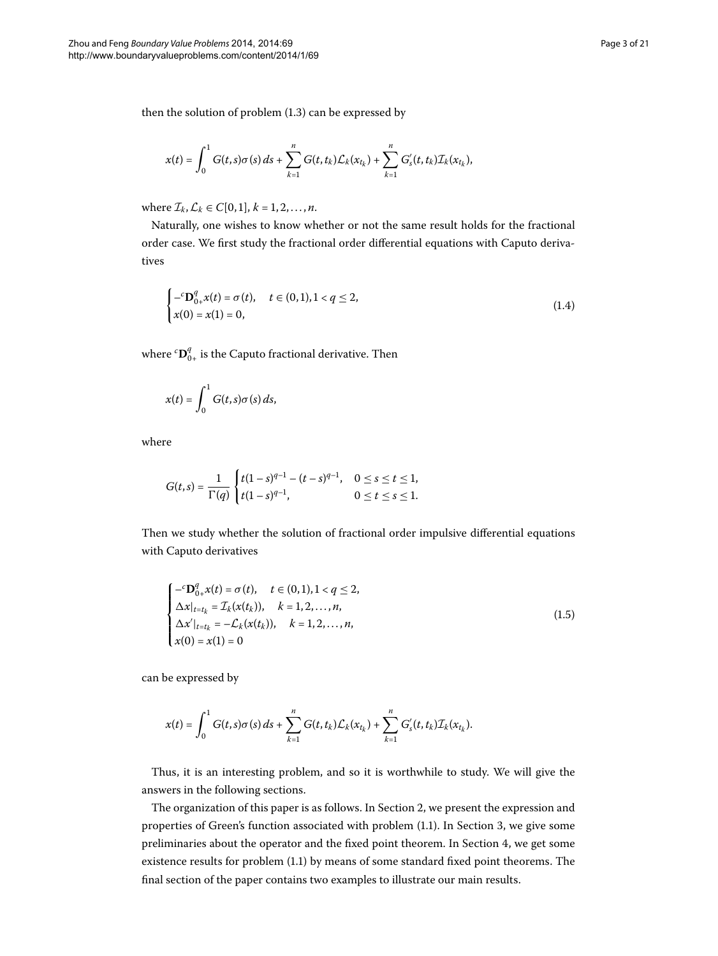$$
x(t) = \int_0^1 G(t,s)\sigma(s) \, ds + \sum_{k=1}^n G(t,t_k) \mathcal{L}_k(x_{t_k}) + \sum_{k=1}^n G'_s(t,t_k) \mathcal{I}_k(x_{t_k}),
$$

where  $\mathcal{I}_k, \mathcal{L}_k \in C[0, 1], k = 1, 2, ..., n$ .

Naturally, one wishes to know whether or not the same result holds for the fractional order case. We first study the fractional order differential equations with Caputo derivatives

$$
\begin{cases}\n-c\mathbf{D}_{0+}^q x(t) = \sigma(t), & t \in (0,1), 1 < q \le 2, \\
x(0) = x(1) = 0,\n\end{cases}
$$
\n(1.4)

where  ${}^c\mathbf{D}_{0+}^q$  is the Caputo fractional derivative. Then

$$
x(t) = \int_0^1 G(t,s)\sigma(s)\,ds,
$$

where

$$
G(t,s) = \frac{1}{\Gamma(q)} \begin{cases} t(1-s)^{q-1} - (t-s)^{q-1}, & 0 \le s \le t \le 1, \\ t(1-s)^{q-1}, & 0 \le t \le s \le 1. \end{cases}
$$

Then we study whether the solution of fractional order impulsive differential equations with Caputo derivatives

$$
\begin{cases}\n-^{c} \mathbf{D}_{0+}^{q} x(t) = \sigma(t), & t \in (0,1), 1 < q \le 2, \\
\Delta x|_{t=t_k} = \mathcal{I}_k(x(t_k)), & k = 1, 2, ..., n, \\
\Delta x'|_{t=t_k} = -\mathcal{L}_k(x(t_k)), & k = 1, 2, ..., n, \\
x(0) = x(1) = 0\n\end{cases}
$$
\n(1.5)

can be expressed by

$$
x(t) = \int_0^1 G(t,s)\sigma(s) ds + \sum_{k=1}^n G(t,t_k) \mathcal{L}_k(x_{t_k}) + \sum_{k=1}^n G'_s(t,t_k) \mathcal{I}_k(x_{t_k}).
$$

Thus, it is an interesting problem, and so it is worthwhile to study. We will give the answers in the following sections.

The organization of this paper is as follows. In Section 2, we present the expression and properties of Green's function associated with problem (1.1). In Section 3, we give some preliminaries about the operator and the fixed point theorem. In Section 4, we get some existence results for problem (1.1) by means of some standard fixed point theorems. The final section of the paper contains two examples to illustrate our main results.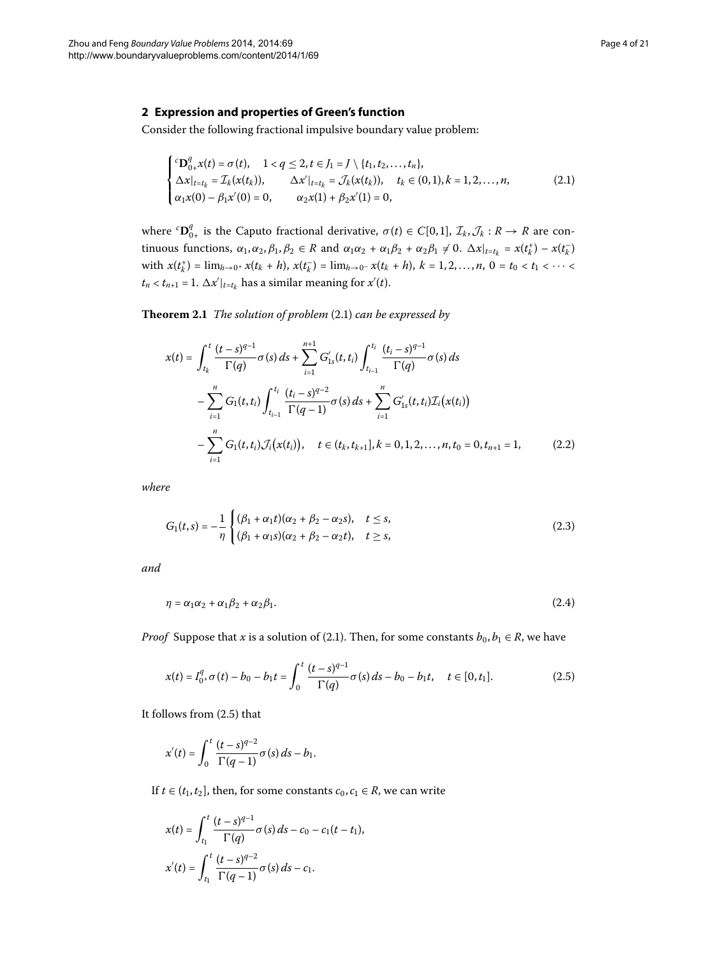## <span id="page-3-0"></span>**2 Expression and properties of Green's function**

Consider the following fractional impulsive boundary value problem:

<span id="page-3-1"></span>
$$
\begin{cases} \n^{c} \mathbf{D}_{0+}^{q} \mathbf{x}(t) = \sigma(t), & 1 < q \leq 2, t \in J_1 = J \setminus \{t_1, t_2, \ldots, t_n\}, \\
\Delta x|_{t=t_k} = \mathcal{I}_k(\mathbf{x}(t_k)), & \Delta x'|_{t=t_k} = \mathcal{J}_k(\mathbf{x}(t_k)), & t_k \in (0, 1), k = 1, 2, \ldots, n, \\
\alpha_1 \mathbf{x}(0) - \beta_1 \mathbf{x}'(0) = 0, & \alpha_2 \mathbf{x}(1) + \beta_2 \mathbf{x}'(1) = 0,\n\end{cases} \tag{2.1}
$$

<span id="page-3-6"></span>where  ${}^{c}D_{0+}^{q}$  is the Caputo fractional derivative,  $\sigma(t) \in C[0,1]$ ,  $\mathcal{I}_k, \mathcal{J}_k : R \to R$  are continuous functions,  $\alpha_1, \alpha_2, \beta_1, \beta_2 \in R$  and  $\alpha_1 \alpha_2 + \alpha_1 \beta_2 + \alpha_2 \beta_1 \neq 0$ .  $\Delta x|_{t=t_k} = x(t_k^+) - x(t_k^-)$ with  $x(t_k^+) = \lim_{h \to 0^+} x(t_k + h)$ ,  $x(t_k^-) = \lim_{h \to 0^-} x(t_k + h)$ ,  $k = 1, 2, ..., n$ ,  $0 = t_0 < t_1 < \cdots <$  $t_n < t_{n+1} = 1$ .  $\Delta x'|_{t=t_k}$  has a similar meaning for  $x'(t)$ .

**Theorem 2[.](#page-3-1)1** *The solution of problem* (2.1) *can be expressed by* 

<span id="page-3-5"></span><span id="page-3-4"></span>
$$
x(t) = \int_{t_k}^{t} \frac{(t-s)^{q-1}}{\Gamma(q)} \sigma(s) ds + \sum_{i=1}^{n+1} G'_{1s}(t, t_i) \int_{t_{i-1}}^{t_i} \frac{(t_i - s)^{q-1}}{\Gamma(q)} \sigma(s) ds
$$
  

$$
- \sum_{i=1}^{n} G_1(t, t_i) \int_{t_{i-1}}^{t_i} \frac{(t_i - s)^{q-2}}{\Gamma(q-1)} \sigma(s) ds + \sum_{i=1}^{n} G'_{1s}(t, t_i) \mathcal{I}_i(x(t_i))
$$
  

$$
- \sum_{i=1}^{n} G_1(t, t_i) \mathcal{J}_i(x(t_i)), \quad t \in (t_k, t_{k+1}], k = 0, 1, 2, ..., n, t_0 = 0, t_{n+1} = 1,
$$
 (2.2)

*where*

<span id="page-3-3"></span>
$$
G_1(t,s) = -\frac{1}{\eta} \begin{cases} (\beta_1 + \alpha_1 t)(\alpha_2 + \beta_2 - \alpha_2 s), & t \le s, \\ (\beta_1 + \alpha_1 s)(\alpha_2 + \beta_2 - \alpha_2 t), & t \ge s, \end{cases}
$$
(2.3)

*and*

<span id="page-3-2"></span>
$$
\eta = \alpha_1 \alpha_2 + \alpha_1 \beta_2 + \alpha_2 \beta_1. \tag{2.4}
$$

*Proof* Suppose that *x* is a solution of (2[.](#page-3-1)1). Then, for some constants  $b_0, b_1 \in R$ , we have

$$
x(t) = I_{0^{+}}^{q} \sigma(t) - b_{0} - b_{1}t = \int_{0}^{t} \frac{(t - s)^{q-1}}{\Gamma(q)} \sigma(s) ds - b_{0} - b_{1}t, \quad t \in [0, t_{1}].
$$
 (2.5)

It follows from  $(2.5)$  $(2.5)$  $(2.5)$  that

$$
x'(t) = \int_0^t \frac{(t-s)^{q-2}}{\Gamma(q-1)} \sigma(s) ds - b_1.
$$

If *t*  $\in$  (*t*<sub>1</sub>, *t*<sub>2</sub>], then, for some constants *c*<sub>0</sub>, *c*<sub>1</sub>  $\in$  *R*, we can write

$$
x(t) = \int_{t_1}^{t} \frac{(t-s)^{q-1}}{\Gamma(q)} \sigma(s) ds - c_0 - c_1(t - t_1),
$$
  

$$
x'(t) = \int_{t_1}^{t} \frac{(t-s)^{q-2}}{\Gamma(q-1)} \sigma(s) ds - c_1.
$$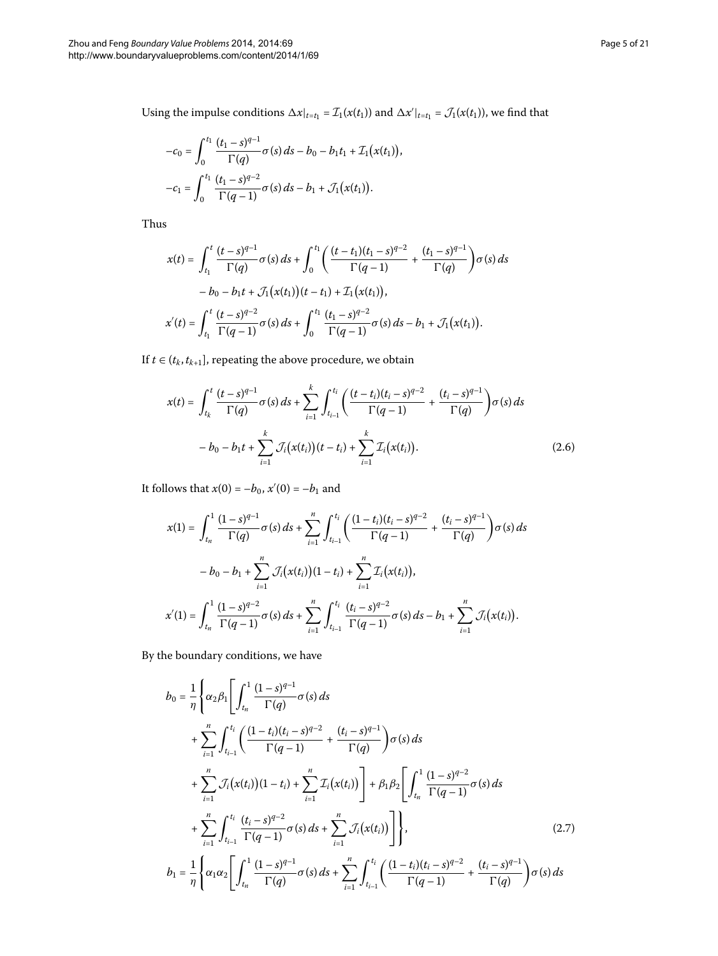Using the impulse conditions  $\Delta x|_{t=t_1} = \mathcal{I}_1(x(t_1))$  and  $\Delta x'|_{t=t_1} = \mathcal{J}_1(x(t_1))$ , we find that

$$
-c_0 = \int_0^{t_1} \frac{(t_1 - s)^{q-1}}{\Gamma(q)} \sigma(s) ds - b_0 - b_1 t_1 + \mathcal{I}_1(x(t_1)),
$$
  

$$
-c_1 = \int_0^{t_1} \frac{(t_1 - s)^{q-2}}{\Gamma(q-1)} \sigma(s) ds - b_1 + \mathcal{J}_1(x(t_1)).
$$

Thus

$$
x(t) = \int_{t_1}^{t} \frac{(t-s)^{q-1}}{\Gamma(q)} \sigma(s) ds + \int_{0}^{t_1} \left( \frac{(t-t_1)(t_1-s)^{q-2}}{\Gamma(q-1)} + \frac{(t_1-s)^{q-1}}{\Gamma(q)} \right) \sigma(s) ds
$$
  
- b<sub>0</sub> - b<sub>1</sub>t + J<sub>1</sub>(x(t<sub>1</sub>))(t - t<sub>1</sub>) + J<sub>1</sub>(x(t<sub>1</sub>)),  

$$
x'(t) = \int_{t_1}^{t} \frac{(t-s)^{q-2}}{\Gamma(q-1)} \sigma(s) ds + \int_{0}^{t_1} \frac{(t_1-s)^{q-2}}{\Gamma(q-1)} \sigma(s) ds - b_1 + J_1(x(t_1)).
$$

If *t* ∈ ( $t_k$ ,  $t_{k+1}$ ], repeating the above procedure, we obtain

<span id="page-4-1"></span>
$$
x(t) = \int_{t_k}^{t} \frac{(t-s)^{q-1}}{\Gamma(q)} \sigma(s) ds + \sum_{i=1}^{k} \int_{t_{i-1}}^{t_i} \left( \frac{(t-t_i)(t_i-s)^{q-2}}{\Gamma(q-1)} + \frac{(t_i-s)^{q-1}}{\Gamma(q)} \right) \sigma(s) ds
$$
  
-  $b_0 - b_1 t + \sum_{i=1}^{k} \mathcal{J}_i(x(t_i))(t-t_i) + \sum_{i=1}^{k} \mathcal{I}_i(x(t_i)).$  (2.6)

It follows that  $x(0) = -b_0$ ,  $x'(0) = -b_1$  and

$$
x(1) = \int_{t_n}^{1} \frac{(1-s)^{q-1}}{\Gamma(q)} \sigma(s) ds + \sum_{i=1}^{n} \int_{t_{i-1}}^{t_i} \left( \frac{(1-t_i)(t_i-s)^{q-2}}{\Gamma(q-1)} + \frac{(t_i-s)^{q-1}}{\Gamma(q)} \right) \sigma(s) ds
$$
  

$$
-b_0 - b_1 + \sum_{i=1}^{n} \mathcal{J}_i(x(t_i))(1-t_i) + \sum_{i=1}^{n} \mathcal{I}_i(x(t_i)),
$$
  

$$
x'(1) = \int_{t_n}^{1} \frac{(1-s)^{q-2}}{\Gamma(q-1)} \sigma(s) ds + \sum_{i=1}^{n} \int_{t_{i-1}}^{t_i} \frac{(t_i-s)^{q-2}}{\Gamma(q-1)} \sigma(s) ds - b_1 + \sum_{i=1}^{n} \mathcal{J}_i(x(t_i)).
$$

By the boundary conditions, we have

<span id="page-4-0"></span>
$$
b_0 = \frac{1}{\eta} \left\{ \alpha_2 \beta_1 \left[ \int_{t_n}^1 \frac{(1-s)^{q-1}}{\Gamma(q)} \sigma(s) ds \right. \\ + \sum_{i=1}^n \int_{t_{i-1}}^{t_i} \left( \frac{(1-t_i)(t_i-s)^{q-2}}{\Gamma(q-1)} + \frac{(t_i-s)^{q-1}}{\Gamma(q)} \right) \sigma(s) ds \right. \\ + \sum_{i=1}^n \mathcal{J}_i(x(t_i))(1-t_i) + \sum_{i=1}^n \mathcal{I}_i(x(t_i)) \right] + \beta_1 \beta_2 \left[ \int_{t_n}^1 \frac{(1-s)^{q-2}}{\Gamma(q-1)} \sigma(s) ds \right. \\ + \sum_{i=1}^n \int_{t_{i-1}}^{t_i} \frac{(t_i-s)^{q-2}}{\Gamma(q-1)} \sigma(s) ds + \sum_{i=1}^n \mathcal{J}_i(x(t_i)) \right] \Bigg\}, \tag{2.7}
$$

$$
b_1 = \frac{1}{\eta} \left\{ \alpha_1 \alpha_2 \left[ \int_{t_n}^1 \frac{(1-s)^{q-1}}{\Gamma(q)} \sigma(s) ds + \sum_{i=1}^n \int_{t_{i-1}}^{t_i} \left( \frac{(1-t_i)(t_i-s)^{q-2}}{\Gamma(q-1)} + \frac{(t_i-s)^{q-1}}{\Gamma(q)} \right) \sigma(s) ds \right\} \tag{2.7}
$$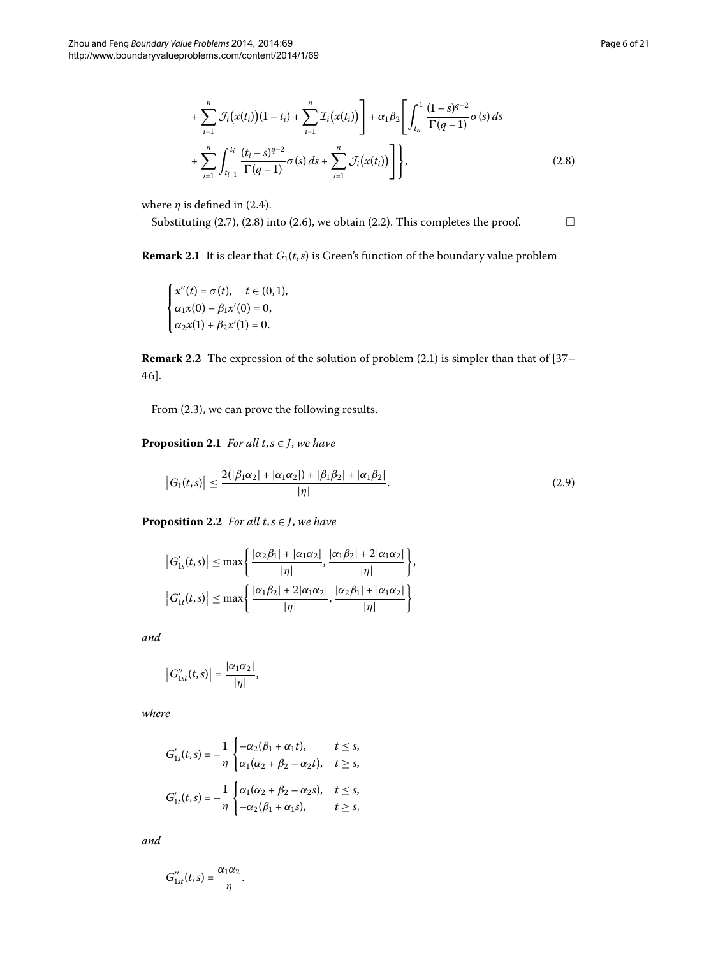<span id="page-5-1"></span><span id="page-5-0"></span> $\Box$ 

$$
+\sum_{i=1}^{n} \mathcal{J}_{i}(x(t_{i}))(1-t_{i})+\sum_{i=1}^{n} \mathcal{I}_{i}(x(t_{i}))\Bigg]+\alpha_{1}\beta_{2}\Bigg[\int_{t_{n}}^{1} \frac{(1-s)^{q-2}}{\Gamma(q-1)}\sigma(s) ds + \sum_{i=1}^{n} \int_{t_{i-1}}^{t_{i}} \frac{(t_{i}-s)^{q-2}}{\Gamma(q-1)}\sigma(s) ds + \sum_{i=1}^{n} \mathcal{J}_{i}(x(t_{i}))\Bigg]\Bigg\},
$$
\n(2.8)

where  $\eta$  is defined in (2.4).

Substituting  $(2.7)$ ,  $(2.8)$  into  $(2.6)$ , we obtain  $(2.2)$ . This completes the proof.

**Remark 2.1** It is clear that  $G_1(t,s)$  is Green's function of the boundary value problem

$$
\begin{cases} x''(t) = \sigma(t), \quad t \in (0,1), \\ \alpha_1 x(0) - \beta_1 x'(0) = 0, \\ \alpha_2 x(1) + \beta_2 x'(1) = 0. \end{cases}
$$

**Remark 2.2** The expression of the solution of problem (2.1) is simpler than that of [\[](#page-19-8)37-46[\]](#page-20-0).

From  $(2.3)$  $(2.3)$  $(2.3)$ , we can prove the following results.

**Proposition 2.1** *For all t*, $s \in J$ *, we have* 

$$
\left|G_1(t,s)\right| \le \frac{2(|\beta_1\alpha_2| + |\alpha_1\alpha_2|) + |\beta_1\beta_2| + |\alpha_1\beta_2|}{|\eta|}.
$$
\n(2.9)

**Proposition 2.2** *For all t*, $s \in J$ *, we have* 

$$
\left|G'_{1s}(t,s)\right| \leq \max\left\{\frac{|\alpha_2\beta_1| + |\alpha_1\alpha_2|}{|\eta|}, \frac{|\alpha_1\beta_2| + 2|\alpha_1\alpha_2|}{|\eta|}\right\},\newline \left|G'_{1t}(t,s)\right| \leq \max\left\{\frac{|\alpha_1\beta_2| + 2|\alpha_1\alpha_2|}{|\eta|}, \frac{|\alpha_2\beta_1| + |\alpha_1\alpha_2|}{|\eta|}\right\}
$$

*and*

$$
\left|G''_{1st}(t,s)\right|=\frac{|\alpha_1\alpha_2|}{|\eta|},
$$

*where*

 $\overline{\phantom{a}}$ 

$$
G'_{1s}(t,s) = -\frac{1}{\eta} \begin{cases} -\alpha_2(\beta_1 + \alpha_1 t), & t \leq s, \\ \alpha_1(\alpha_2 + \beta_2 - \alpha_2 t), & t \geq s, \end{cases}
$$

$$
G'_{1t}(t,s) = -\frac{1}{\eta} \begin{cases} \alpha_1(\alpha_2 + \beta_2 - \alpha_2 s), & t \leq s, \\ -\alpha_2(\beta_1 + \alpha_1 s), & t \geq s, \end{cases}
$$

*and*

$$
G''_{1st}(t,s)=\frac{\alpha_1\alpha_2}{\eta}.
$$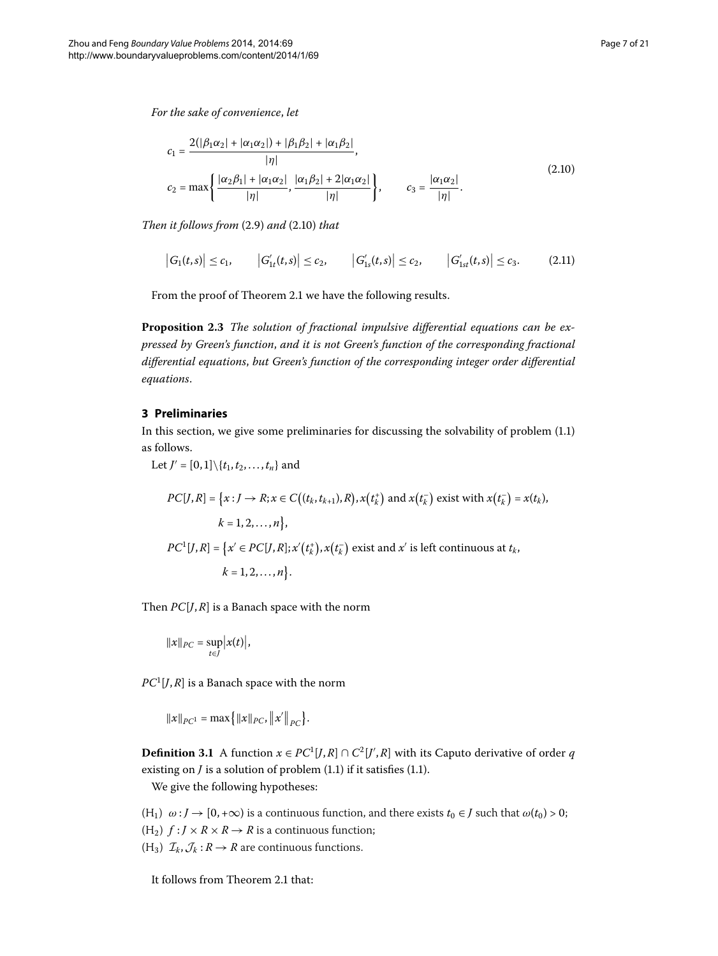*For the sake of convenience*, *let*

<span id="page-6-1"></span>
$$
c_1 = \frac{2(|\beta_1 \alpha_2| + |\alpha_1 \alpha_2|) + |\beta_1 \beta_2| + |\alpha_1 \beta_2|}{|\eta|},
$$
  
\n
$$
c_2 = \max\left\{\frac{|\alpha_2 \beta_1| + |\alpha_1 \alpha_2|}{|\eta|}, \frac{|\alpha_1 \beta_2| + 2|\alpha_1 \alpha_2|}{|\eta|}\right\}, \qquad c_3 = \frac{|\alpha_1 \alpha_2|}{|\eta|}.
$$
\n(2.10)

*Then it follows from* (2[.](#page-6-1)9) and (2.10) *that* 

$$
\left|G_1(t,s)\right| \leq c_1, \qquad \left|G'_{1t}(t,s)\right| \leq c_2, \qquad \left|G'_{1s}(t,s)\right| \leq c_2, \qquad \left|G'_{1st}(t,s)\right| \leq c_3. \tag{2.11}
$$

From the proof of Theorem 2[.](#page-3-6)1 we have the following results.

<span id="page-6-0"></span>Proposition 2.3 The solution of fractional impulsive differential equations can be ex*pressed by Green's function*, *and it is not Green's function of the corresponding fractional differential equations*, *but Green's function of the corresponding integer order differential equations*.

## **3 Preliminaries**

In this section, we give some preliminaries for discussing the solvability of problem  $(1.1)$  $(1.1)$  $(1.1)$ as follows.

Let  $J' = [0, 1] \setminus \{t_1, t_2, ..., t_n\}$  and

$$
PC[J, R] = \{x : J \to R; x \in C\big((t_k, t_{k+1}), R\big), x\big(t_k^+\big) \text{ and } x\big(t_k^-\big) \text{ exist with } x\big(t_k^-\big) = x(t_k),
$$
\n
$$
k = 1, 2, \dots, n\},
$$
\n
$$
PC^1[J, R] = \{x' \in PC[J, R]; x'\big(t_k^+\big), x\big(t_k^-\big) \text{ exist and } x' \text{ is left continuous at } t_k,
$$
\n
$$
k = 1, 2, \dots, n\}.
$$

Then *PC*[*J*,*R*] is a Banach space with the norm

$$
||x||_{PC} = \sup_{t \in J} |x(t)|,
$$

 $PC^1[J,R]$  is a Banach space with the norm

$$
||x||_{PC^1} = \max\{|x||_{PC}, ||x'||_{PC}\}.
$$

**Definition 3.1** A function  $x \in PC^1[J, R] \cap C^2[J', R]$  with its Caputo derivative of order  $q$ existing on  $J$  is a solution of problem  $(1.1)$  $(1.1)$  $(1.1)$  if it satisfies  $(1.1)$ .

We give the following hypotheses:

- $(H_1)$   $\omega: J \to [0, +\infty)$  is a continuous function, and there exists  $t_0 \in J$  such that  $\omega(t_0) > 0$ ;
- $(H_2)$   $f: J \times R \times R \rightarrow R$  is a continuous function;
- (H<sub>3</sub>)  $\mathcal{I}_k, \mathcal{J}_k : R \to R$  are continuous functions.

It follows from Theorem 2[.](#page-3-6)1 that: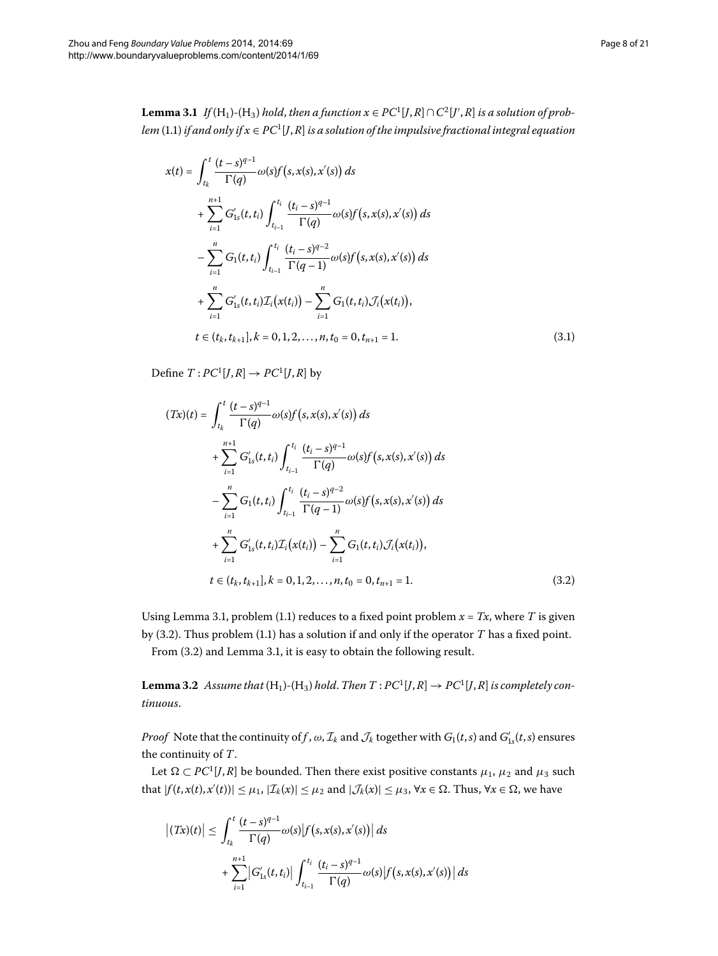<span id="page-7-0"></span>**Lemma 3.1** If (H<sub>1</sub>)-(H<sub>3</sub>) hold, then a function  $x \in PC^1[J, R] \cap C^2[J', R]$  is a solution of prob $l$ em  $(1.1)$  *if and only if*  $x \in PC^1[J,R]$  *is a solution of the impulsive fractional integral equation* 

$$
x(t) = \int_{t_k}^{t} \frac{(t-s)^{q-1}}{\Gamma(q)} \omega(s) f(s, x(s), x'(s)) ds
$$
  
+ 
$$
\sum_{i=1}^{n+1} G'_{1s}(t, t_i) \int_{t_{i-1}}^{t_i} \frac{(t_i - s)^{q-1}}{\Gamma(q)} \omega(s) f(s, x(s), x'(s)) ds
$$
  
- 
$$
\sum_{i=1}^{n} G_1(t, t_i) \int_{t_{i-1}}^{t_i} \frac{(t_i - s)^{q-2}}{\Gamma(q-1)} \omega(s) f(s, x(s), x'(s)) ds
$$
  
+ 
$$
\sum_{i=1}^{n} G'_{1s}(t, t_i) \mathcal{I}_i(x(t_i)) - \sum_{i=1}^{n} G_1(t, t_i) \mathcal{J}_i(x(t_i)),
$$
  

$$
t \in (t_k, t_{k+1}], k = 0, 1, 2, ..., n, t_0 = 0, t_{n+1} = 1.
$$
 (3.1)

Define  $T: PC^1[J, R] \to PC^1[J, R]$  by

<span id="page-7-1"></span>
$$
(Tx)(t) = \int_{t_k}^{t} \frac{(t-s)^{q-1}}{\Gamma(q)} \omega(s) f(s, x(s), x'(s)) ds
$$
  
+ 
$$
\sum_{i=1}^{n+1} G'_{1s}(t, t_i) \int_{t_{i-1}}^{t_i} \frac{(t_i - s)^{q-1}}{\Gamma(q)} \omega(s) f(s, x(s), x'(s)) ds
$$
  
- 
$$
\sum_{i=1}^{n} G_1(t, t_i) \int_{t_{i-1}}^{t_i} \frac{(t_i - s)^{q-2}}{\Gamma(q-1)} \omega(s) f(s, x(s), x'(s)) ds
$$
  
+ 
$$
\sum_{i=1}^{n} G'_{1s}(t, t_i) \mathcal{I}_i(x(t_i)) - \sum_{i=1}^{n} G_1(t, t_i) \mathcal{I}_i(x(t_i)),
$$
  

$$
t \in (t_k, t_{k+1}], k = 0, 1, 2, ..., n, t_0 = 0, t_{n+1} = 1.
$$
 (3.2)

<span id="page-7-2"></span>Using Lemma 3[.](#page-1-0)1, problem (1.1) reduces to a fixed point problem  $x = Tx$ , where *T* is given by (3[.](#page-1-0)2). Thus problem (1.1) has a solution if and only if the operator  $T$  has a fixed point. From (3[.](#page-7-1)2) and Lemma 3.1, it is easy to obtain the following result.

**Lemma 3.2** Assume that  $(H_1)$ - $(H_3)$  hold. Then  $T$  :  $PC^1[J, R] \rightarrow PC^1[J, R]$  is completely con*tinuous*.

*Proof* Note that the continuity of *f* ,  $\omega$ ,  $\mathcal{I}_k$  and  $\mathcal{J}_k$  together with  $G_1(t,s)$  and  $G'_{1s}(t,s)$  ensures the continuity of *T*.

Let  $\Omega \subset PC^1[J, R]$  be bounded. Then there exist positive constants  $\mu_1$ ,  $\mu_2$  and  $\mu_3$  such that  $|f(t, x(t), x'(t))| \leq \mu_1, |\mathcal{I}_k(x)| \leq \mu_2$  and  $|\mathcal{J}_k(x)| \leq \mu_3$ ,  $\forall x \in \Omega$ . Thus,  $\forall x \in \Omega$ , we have

$$
\left| (Tx)(t) \right| \leq \int_{t_k}^t \frac{(t-s)^{q-1}}{\Gamma(q)} \omega(s) \left| f(s, x(s), x'(s)) \right| ds
$$
  
+ 
$$
\sum_{i=1}^{n+1} \left| G'_{1s}(t, t_i) \right| \int_{t_{i-1}}^{t_i} \frac{(t_i - s)^{q-1}}{\Gamma(q)} \omega(s) \left| f(s, x(s), x'(s)) \right| ds
$$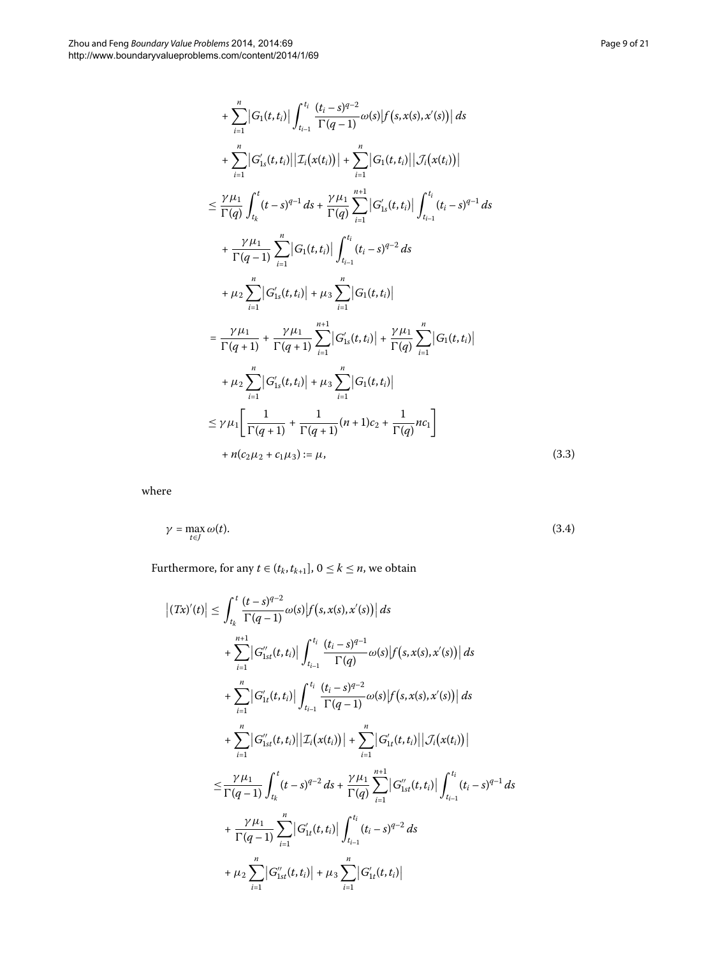$$
+\sum_{i=1}^{n} |G_1(t,t_i)| \int_{t_{i-1}}^{t_i} \frac{(t_i - s)^{q-2}}{\Gamma(q-1)} \omega(s) |f(s,x(s),x'(s))| ds
$$
  
\n
$$
+\sum_{i=1}^{n} |G'_{1s}(t,t_i)| |Z_i(x(t_i))| + \sum_{i=1}^{n} |G_1(t,t_i)| |J_i(x(t_i))|
$$
  
\n
$$
\leq \frac{\gamma \mu_1}{\Gamma(q)} \int_{t_k}^{t} (t-s)^{q-1} ds + \frac{\gamma \mu_1}{\Gamma(q)} \sum_{i=1}^{n+1} |G'_{1s}(t,t_i)| \int_{t_{i-1}}^{t_i} (t_i - s)^{q-1} ds
$$
  
\n
$$
+\frac{\gamma \mu_1}{\Gamma(q-1)} \sum_{i=1}^{n} |G_1(t,t_i)| \int_{t_{i-1}}^{t_i} (t_i - s)^{q-2} ds
$$
  
\n
$$
+\mu_2 \sum_{i=1}^{n} |G'_{1s}(t,t_i)| + \mu_3 \sum_{i=1}^{n} |G_1(t,t_i)|
$$
  
\n
$$
= \frac{\gamma \mu_1}{\Gamma(q+1)} + \frac{\gamma \mu_1}{\Gamma(q+1)} \sum_{i=1}^{n+1} |G'_{1s}(t,t_i)| + \frac{\gamma \mu_1}{\Gamma(q)} \sum_{i=1}^{n} |G_1(t,t_i)|
$$
  
\n
$$
+ \mu_2 \sum_{i=1}^{n} |G'_{1s}(t,t_i)| + \mu_3 \sum_{i=1}^{n} |G_1(t,t_i)|
$$
  
\n
$$
\leq \gamma \mu_1 \left[ \frac{1}{\Gamma(q+1)} + \frac{1}{\Gamma(q+1)} (n+1)c_2 + \frac{1}{\Gamma(q)} nc_1 \right]
$$
  
\n
$$
+ n(c_2\mu_2 + c_1\mu_3) := \mu,
$$
  
\n(3.3)

where

 $\overline{\phantom{a}}$ 

<span id="page-8-1"></span><span id="page-8-0"></span>
$$
\gamma = \max_{t \in J} \omega(t). \tag{3.4}
$$

Furthermore, for any *t*  $\in$  ( $t_k$ ,  $t_{k+1}$ ],  $0 \le k \le n$ , we obtain

$$
\left| (Tx)'(t) \right| \leq \int_{t_k}^{t} \frac{(t-s)^{q-2}}{\Gamma(q-1)} \omega(s) \left| f(s, x(s), x'(s)) \right| ds
$$
  
+ 
$$
\sum_{i=1}^{n+1} \left| G''_{1st}(t, t_i) \right| \int_{t_{i-1}}^{t_i} \frac{(t_i - s)^{q-1}}{\Gamma(q)} \omega(s) \left| f(s, x(s), x'(s)) \right| ds
$$
  
+ 
$$
\sum_{i=1}^{n} \left| G'_{1t}(t, t_i) \right| \int_{t_{i-1}}^{t_i} \frac{(t_i - s)^{q-2}}{\Gamma(q-1)} \omega(s) \left| f(s, x(s), x'(s)) \right| ds
$$
  
+ 
$$
\sum_{i=1}^{n} \left| G''_{1st}(t, t_i) \right| \left| \mathcal{I}_i(x(t_i)) \right| + \sum_{i=1}^{n} \left| G'_{1t}(t, t_i) \right| \left| \mathcal{J}_i(x(t_i)) \right|
$$
  

$$
\leq \frac{\gamma \mu_1}{\Gamma(q-1)} \int_{t_k}^{t} (t - s)^{q-2} ds + \frac{\gamma \mu_1}{\Gamma(q)} \sum_{i=1}^{n+1} \left| G''_{1st}(t, t_i) \right| \int_{t_{i-1}}^{t_i} (t_i - s)^{q-1} ds
$$
  
+ 
$$
\frac{\gamma \mu_1}{\Gamma(q-1)} \sum_{i=1}^{n} \left| G'_{1t}(t, t_i) \right| \int_{t_{i-1}}^{t_i} (t_i - s)^{q-2} ds
$$
  
+ 
$$
\mu_2 \sum_{i=1}^{n} \left| G''_{1st}(t, t_i) \right| + \mu_3 \sum_{i=1}^{n} \left| G'_{1t}(t, t_i) \right|
$$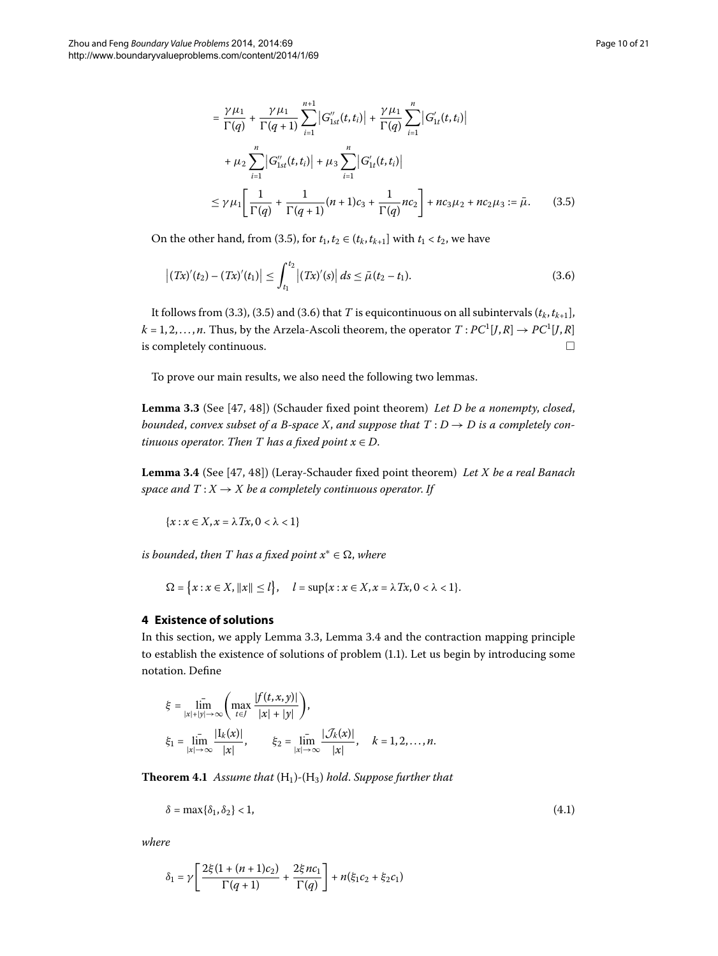<span id="page-9-2"></span><span id="page-9-1"></span>
$$
= \frac{\gamma \mu_1}{\Gamma(q)} + \frac{\gamma \mu_1}{\Gamma(q+1)} \sum_{i=1}^{n+1} \left| G''_{1st}(t, t_i) \right| + \frac{\gamma \mu_1}{\Gamma(q)} \sum_{i=1}^n \left| G'_{1t}(t, t_i) \right|
$$
  
+  $\mu_2 \sum_{i=1}^n \left| G''_{1st}(t, t_i) \right| + \mu_3 \sum_{i=1}^n \left| G'_{1t}(t, t_i) \right|$   

$$
\leq \gamma \mu_1 \left[ \frac{1}{\Gamma(q)} + \frac{1}{\Gamma(q+1)} (n+1)c_3 + \frac{1}{\Gamma(q)} n c_2 \right] + n c_3 \mu_2 + n c_2 \mu_3 := \bar{\mu}. \tag{3.5}
$$

On the other hand, from (3[.](#page-9-1)5), for  $t_1, t_2 \in (t_k, t_{k+1}]$  with  $t_1 < t_2$ , we have

<span id="page-9-3"></span>
$$
\left| (Tx)'(t_2) - (Tx)'(t_1) \right| \le \int_{t_1}^{t_2} \left| (Tx)'(s) \right| ds \le \bar{\mu}(t_2 - t_1). \tag{3.6}
$$

It follows from (3[.](#page-9-2)3), (3.5) and (3.6) that *T* is equicontinuous on all subintervals  $(t_k, t_{k+1}]$ ,  $k = 1, 2, \ldots, n$ . Thus, by the Arzela-Ascoli theorem, the operator  $T : PC^1[J, R] \rightarrow PC^1[J, R]$ is completely continuous.  $\Box$ 

<span id="page-9-4"></span>To prove our main results, we also need the following two lemmas.

**Lemma 3.3** (See [47[,](#page-20-1) 48[\]](#page-20-2)) (Schauder fixed point theorem) *Let D be a nonempty*, *closed*, *bounded, convex subset of a B-space X, and suppose that*  $T : D \to D$  *is a completely continuous operator. Then T has a fixed point*  $x \in D$ .

<span id="page-9-0"></span>Lemma 3.4 (See [\[](#page-20-1)47, 48[\]](#page-20-2)) (Leray-Schauder fixed point theorem) *Let X be a real Banach space and*  $T: X \to X$  *be a completely continuous operator. If* 

$$
\{x: x\in X, x=\lambda \, Tx, 0<\lambda<1\}
$$

*is bounded, then T has a fixed point*  $x^* \in \Omega$ *, where* 

 $\Omega = \{x : x \in X, ||x|| \le l\}, \quad l = \sup\{x : x \in X, x = \lambda Tx, 0 < \lambda < 1\}.$ 

#### **4 Existence of solutions**

<span id="page-9-6"></span>In this section, we apply Lemma  $3.3$  $3.3$  $3.3$ , Lemma  $3.4$  and the contraction mapping principle to establish the existence of solutions of problem  $(1.1)$ . Let us begin by introducing some notation. Define

<span id="page-9-5"></span>
$$
\xi = \lim_{|x|+|y| \to \infty} \left( \max_{t \in J} \frac{|f(t, x, y)|}{|x| + |y|} \right),
$$
  

$$
\xi_1 = \lim_{|x| \to \infty} \frac{|I_k(x)|}{|x|}, \qquad \xi_2 = \lim_{|x| \to \infty} \frac{|\mathcal{J}_k(x)|}{|x|}, \quad k = 1, 2, ..., n.
$$

**Theorem 4.1** Assume that  $(H_1)$ - $(H_3)$  hold. Suppose further that

$$
\delta = \max\{\delta_1, \delta_2\} < 1,\tag{4.1}
$$

*where*

$$
\delta_1 = \gamma \left[ \frac{2 \xi (1 + (n+1)c_2)}{\Gamma(q+1)} + \frac{2 \xi n c_1}{\Gamma(q)} \right] + n(\xi_1 c_2 + \xi_2 c_1)
$$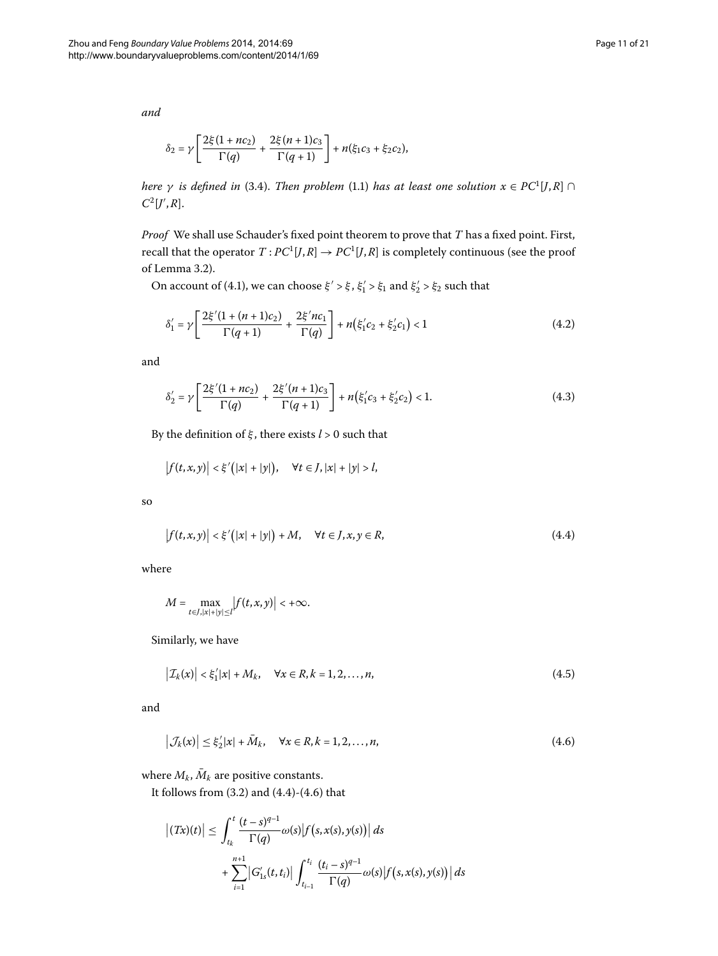*and*

<span id="page-10-2"></span>
$$
\delta_2 = \gamma \left[ \frac{2 \xi (1 + nc_2)}{\Gamma(q)} + \frac{2 \xi (n + 1) c_3}{\Gamma(q + 1)} \right] + n(\xi_1 c_3 + \xi_2 c_2),
$$

*here*  $\gamma$  *is defined in* (3.4). *Then problem* (1.1) *has at least one solution*  $x \in PC^1[J, R]$  ∩  $C^2[J',R]$ .

*Proof* We shall use Schauder's fixed point theorem to prove that *T* has a fixed point. First, recall that the operator  $T: PC^1[J, R] \to PC^1[J, R]$  is completely continuous (see the proof of Lemma 3[.](#page-7-2)2).

On account of (4.1), we can choose  $\xi' > \xi$ ,  $\xi'_1 > \xi_1$  and  $\xi'_2 > \xi_2$  such that

<span id="page-10-3"></span>
$$
\delta_1' = \gamma \left[ \frac{2\xi'(1 + (n+1)c_2)}{\Gamma(q+1)} + \frac{2\xi'nc_1}{\Gamma(q)} \right] + n(\xi_1'c_2 + \xi_2'c_1) < 1 \tag{4.2}
$$

and

$$
\delta_2' = \gamma \left[ \frac{2\xi'(1 + nc_2)}{\Gamma(q)} + \frac{2\xi'(n+1)c_3}{\Gamma(q+1)} \right] + n(\xi_1'c_3 + \xi_2'c_2) < 1. \tag{4.3}
$$

By the definition of  $\xi$ , there exists  $l > 0$  such that

<span id="page-10-0"></span> $|f(t, x, y)| < \xi'(|x| + |y|), \quad \forall t \in J, |x| + |y| > l,$ 

so

$$
\left|f(t,x,y)\right|<\xi'\left(|x|+|y|\right)+M,\quad\forall t\in J,x,y\in R,\tag{4.4}
$$

where

<span id="page-10-1"></span>
$$
M=\max_{t\in J,|x|+|y|\leq l}\bigl|f(t,x,y)\bigr|<\+\infty.
$$

Similarly, we have

$$
\left| \mathcal{I}_k(x) \right| < \xi_1'|x| + M_k, \quad \forall x \in R, k = 1, 2, \dots, n,\tag{4.5}
$$

and

$$
\left|\mathcal{J}_k(x)\right| \leq \xi_2'|x| + \bar{M}_k, \quad \forall x \in R, k = 1, 2, \dots, n,
$$
\n
$$
(4.6)
$$

where  $M_k$ ,  $\bar{M}_k$  are positive constants.

It follows from  $(3.2)$  $(3.2)$  $(3.2)$  and  $(4.4)-(4.6)$  that

$$
\left| (Tx)(t) \right| \leq \int_{t_k}^t \frac{(t-s)^{q-1}}{\Gamma(q)} \omega(s) \left| f(s, x(s), y(s)) \right| ds
$$
  
+ 
$$
\sum_{i=1}^{n+1} \left| G'_{1s}(t, t_i) \right| \int_{t_{i-1}}^{t_i} \frac{(t_i - s)^{q-1}}{\Gamma(q)} \omega(s) \left| f(s, x(s), y(s)) \right| ds
$$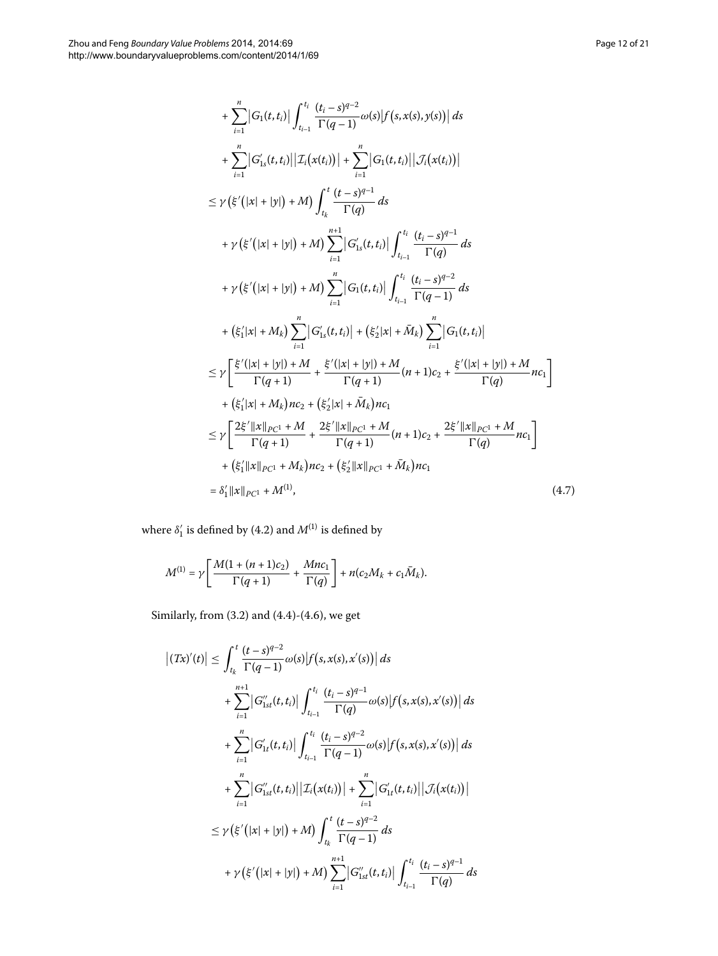+ 
$$
\sum_{i=1}^{n} |G_1(t, t_i)| \int_{t_{i-1}}^{t_i} \frac{(t_i - s)^{q-2}}{\Gamma(q-1)} \omega(s) |f(s, x(s), y(s))| ds
$$
  
+ 
$$
\sum_{i=1}^{n} |G'_{1s}(t, t_i)| |Z_i(x(t_i))| + \sum_{i=1}^{n} |G_1(t, t_i)| |J_i(x(t_i))|
$$
  

$$
\leq \gamma (\xi'(|x| + |y|) + M) \int_{t_k}^{t} \frac{(t - s)^{q-1}}{\Gamma(q)} ds
$$
  
+ 
$$
\gamma (\xi'(|x| + |y|) + M) \sum_{i=1}^{n+1} |G'_{1s}(t, t_i)| \int_{t_{i-1}}^{t_i} \frac{(t_i - s)^{q-1}}{\Gamma(q)} ds
$$
  
+ 
$$
\gamma (\xi'(|x| + |y|) + M) \sum_{i=1}^{n} |G_1(t, t_i)| \int_{t_{i-1}}^{t_i} \frac{(t_i - s)^{q-2}}{\Gamma(q-1)} ds
$$
  
+ 
$$
(\xi'_1 |x| + M_k) \sum_{i=1}^{n} |G'_{1s}(t, t_i)| + (\xi'_2 |x| + \overline{M}_k) \sum_{i=1}^{n} |G_1(t, t_i)|
$$
  

$$
\leq \gamma \left[ \frac{\xi'(|x| + |y|) + M}{\Gamma(q+1)} + \frac{\xi'(|x| + |y|) + M}{\Gamma(q+1)} (n + 1)c_2 + \frac{\xi'(|x| + |y|) + M}{\Gamma(q)} n c_1 \right]
$$
  
+ 
$$
(\xi'_1 |x| + M_k) n c_2 + (\xi'_2 |x| + \overline{M}_k) n c_1
$$
  

$$
\leq \gamma \left[ \frac{2\xi' ||x||_{PC^1} + M}{\Gamma(q+1)} + \frac{2\xi' ||x||_{PC^1} + M}{\Gamma(q+1)} (n + 1)c_2 + \frac{2\xi' ||x||_{PC^1} + M}{\Gamma(q)} n c_1 \right]
$$
  
+ 
$$
(\xi'_1 ||x||_{PC^1} + M_k) n c_2 + (\xi'_2 ||x||_{PC^1} + \overline{M}_k) n c_1
$$
  
= 
$$
\delta'_1 ||x||_{PC^1} + M_i^n),
$$

where  $\delta_1'$  is defined by (4.2) and  $M^{(1)}$  is defined by

<span id="page-11-0"></span>
$$
M^{(1)}=\gamma\left[\frac{M(1+(n+1)c_2)}{\Gamma(q+1)}+\frac{Mnc_1}{\Gamma(q)}\right]+n(c_2M_k+c_1\bar M_k).
$$

Similarly, from  $(3.2)$  $(3.2)$  $(3.2)$  and  $(4.4)-(4.6)$ , we get

$$
\left| (Tx)'(t) \right| \leq \int_{t_k}^{t} \frac{(t-s)^{q-2}}{\Gamma(q-1)} \omega(s) \left| f(s, x(s), x'(s)) \right| ds
$$
  
+ 
$$
\sum_{i=1}^{n+1} \left| G''_{1st}(t, t_i) \right| \int_{t_{i-1}}^{t_i} \frac{(t_i - s)^{q-1}}{\Gamma(q)} \omega(s) \left| f(s, x(s), x'(s)) \right| ds
$$
  
+ 
$$
\sum_{i=1}^{n} \left| G'_{1t}(t, t_i) \right| \int_{t_{i-1}}^{t_i} \frac{(t_i - s)^{q-2}}{\Gamma(q-1)} \omega(s) \left| f(s, x(s), x'(s)) \right| ds
$$
  
+ 
$$
\sum_{i=1}^{n} \left| G''_{1st}(t, t_i) \right| \left| \mathcal{I}_i(x(t_i)) \right| + \sum_{i=1}^{n} \left| G'_{1t}(t, t_i) \right| \left| \mathcal{J}_i(x(t_i)) \right|
$$
  

$$
\leq \gamma \left( \xi'(|x| + |y|) + M \right) \int_{t_k}^{t} \frac{(t - s)^{q-2}}{\Gamma(q-1)} ds
$$
  
+ 
$$
\gamma \left( \xi'(|x| + |y|) + M \right) \sum_{i=1}^{n+1} \left| G''_{1st}(t, t_i) \right| \int_{t_{i-1}}^{t_i} \frac{(t_i - s)^{q-1}}{\Gamma(q)} ds
$$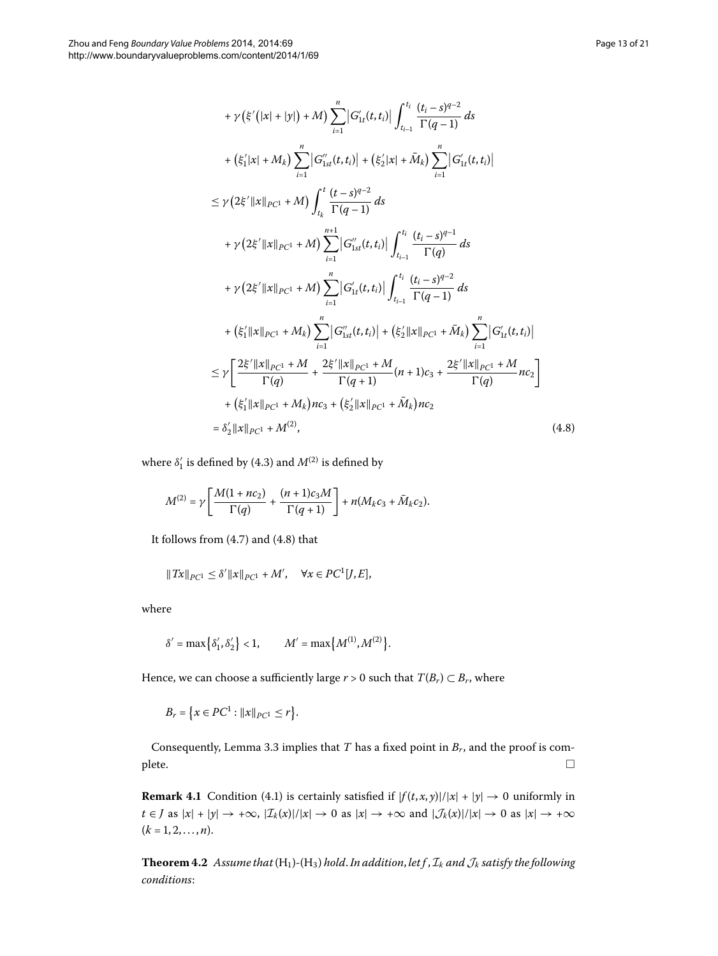<span id="page-12-0"></span>
$$
+ \gamma (\xi'(|x| + |y|) + M) \sum_{i=1}^{n} |G'_{1i}(t, t_i)| \int_{t_{i-1}}^{t_i} \frac{(t_i - s)^{q-2}}{\Gamma(q-1)} ds
$$
  
+  $(\xi'_1 |x| + M_k) \sum_{i=1}^{n} |G''_{1st}(t, t_i)| + (\xi'_2 |x| + M_k) \sum_{i=1}^{n} |G'_{1t}(t, t_i)|$   
 $\leq \gamma (2\xi' ||x||_{PC^1} + M) \int_{t_k}^{t} \frac{(t - s)^{q-2}}{\Gamma(q-1)} ds$   
+  $\gamma (2\xi' ||x||_{PC^1} + M) \sum_{i=1}^{n+1} |G''_{1st}(t, t_i)| \int_{t_{i-1}}^{t_i} \frac{(t_i - s)^{q-1}}{\Gamma(q)} ds$   
+  $\gamma (2\xi' ||x||_{PC^1} + M) \sum_{i=1}^{n} |G'_{1t}(t, t_i)| \int_{t_{i-1}}^{t_i} \frac{(t_i - s)^{q-2}}{\Gamma(q-1)} ds$   
+  $(\xi'_1 ||x||_{PC^1} + M_k) \sum_{i=1}^{n} |G''_{1st}(t, t_i)| + (\xi'_2 ||x||_{PC^1} + \bar{M}_k) \sum_{i=1}^{n} |G'_{1t}(t, t_i)|$   
 $\leq \gamma \Bigg[ \frac{2\xi' ||x||_{PC^1} + M}{\Gamma(q)} + \frac{2\xi' ||x||_{PC^1} + M}{\Gamma(q+1)} (n+1)c_3 + \frac{2\xi' ||x||_{PC^1} + M}{\Gamma(q)} n c_2 \Bigg]$   
+  $(\xi'_1 ||x||_{PC^1} + M_k) n c_3 + (\xi'_2 ||x||_{PC^1} + \bar{M}_k) n c_2$   
=  $\delta'_2 ||x||_{PC^1} + M^{(2)}$ , (4.8)

where  $\delta_1'$  is defined by (4.3) and  $M^{(2)}$  is defined by

$$
M^{(2)}=\gamma\left[\frac{M(1+n c_2)}{\Gamma(q)}+\frac{(n+1)c_3 M}{\Gamma(q+1)}\right]+n(M_kc_3+\bar M_kc_2).
$$

It follows from  $(4.7)$  $(4.7)$  $(4.7)$  and  $(4.8)$  that

$$
||Tx||_{PC^1} \le \delta' ||x||_{PC^1} + M', \quad \forall x \in PC^1[J, E],
$$

where

$$
\delta' = \max\left\{\delta_1', \delta_2'\right\} < 1, \qquad M' = \max\left\{M^{(1)}, M^{(2)}\right\}.
$$

Hence, we can choose a sufficiently large  $r > 0$  such that  $T(B_r) \subset B_r$ , where

 $B_r = \{x \in PC^1 : ||x||_{PC^1} \le r\}.$ 

<span id="page-12-1"></span>Consequently, Lemma 3[.](#page-9-3)3 implies that *T* has a fixed point in  $B_r$ , and the proof is com- $\Box$  $\Box$ 

**Remark 4.1** Condition (4.1) is certainly satisfied if  $|f(t, x, y)|/|x| + |y| \to 0$  uniformly in  $t \in J$  as  $|x| + |y| \to +\infty$ ,  $|\mathcal{I}_k(x)|/|x| \to 0$  as  $|x| \to +\infty$  and  $|\mathcal{J}_k(x)|/|x| \to 0$  as  $|x| \to +\infty$  $(k = 1, 2, \ldots, n).$ 

**Theorem 4.2** Assume that  $(H_1)$ - $(H_3)$  hold. In addition, let f ,  $\mathcal{I}_k$  and  $\mathcal{J}_k$  satisfy the following *conditions*: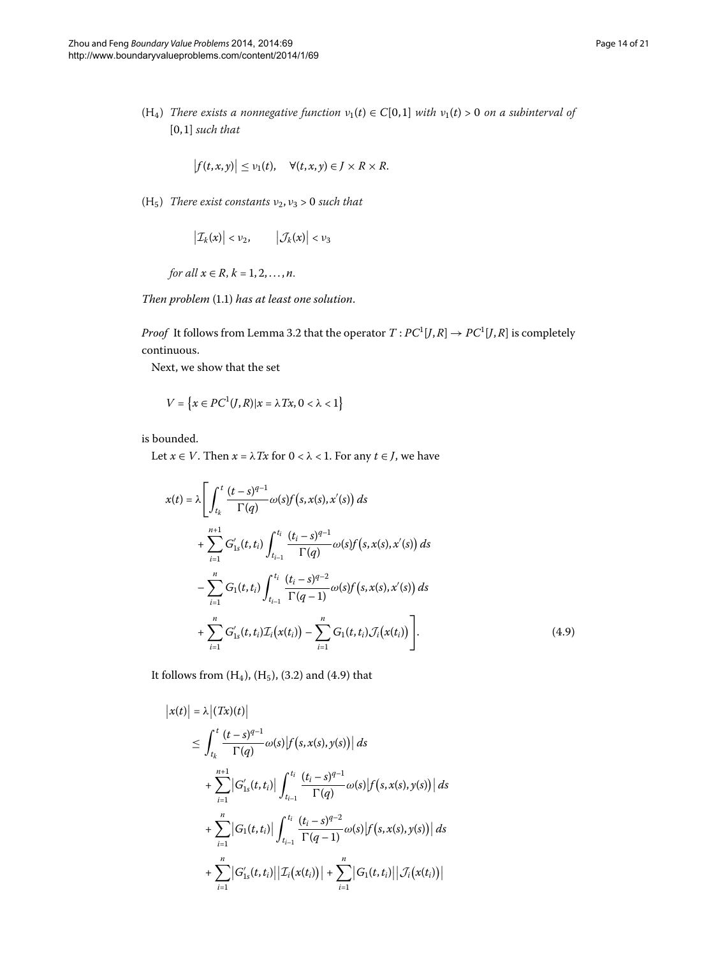$$
\big|f(t,x,y)\big|\leq v_1(t),\quad \forall (t,x,y)\in J\times R\times R.
$$

(H<sub>5</sub>) *There exist constants*  $v_2$ ,  $v_3 > 0$  *such that* 

$$
\big|\mathcal{I}_k(x)\big|<\nu_2,\qquad \big|\mathcal{J}_k(x)\big|<\nu_3
$$

*for all*  $x \in R$ ,  $k = 1, 2, ..., n$ .

*Then problem* (1[.](#page-1-0)1) has at least one solution.

*Proof* It follows from Lemma 3[.](#page-7-2)2 that the operator  $T: PC^1[J, R] \to PC^1[J, R]$  is completely continuous.

Next, we show that the set

$$
V = \left\{ x \in PC^1(J,R) | x = \lambda Tx, 0 < \lambda < 1 \right\}
$$

is bounded.

Let  $x \in V$ . Then  $x = \lambda Tx$  for  $0 < \lambda < 1$ . For any  $t \in J$ , we have

<span id="page-13-0"></span>
$$
x(t) = \lambda \left[ \int_{t_k}^{t} \frac{(t-s)^{q-1}}{\Gamma(q)} \omega(s) f(s, x(s), x'(s)) ds + \sum_{i=1}^{n+1} G'_{1s}(t, t_i) \int_{t_{i-1}}^{t_i} \frac{(t_i - s)^{q-1}}{\Gamma(q)} \omega(s) f(s, x(s), x'(s)) ds - \sum_{i=1}^{n} G_1(t, t_i) \int_{t_{i-1}}^{t_i} \frac{(t_i - s)^{q-2}}{\Gamma(q-1)} \omega(s) f(s, x(s), x'(s)) ds + \sum_{i=1}^{n} G'_{1s}(t, t_i) \mathcal{I}_i(x(t_i)) - \sum_{i=1}^{n} G_1(t, t_i) \mathcal{J}_i(x(t_i)) \right].
$$
\n(4.9)

It follows from  $(H_4)$ ,  $(H_5)$ ,  $(3.2)$  $(3.2)$  $(3.2)$  and  $(4.9)$  that

$$
\begin{split} \left| x(t) \right| &= \lambda \left| (Tx)(t) \right| \\ &\leq \int_{t_k}^t \frac{(t-s)^{q-1}}{\Gamma(q)} \omega(s) \left| f\left(s, x(s), y(s)\right) \right| \, ds \\ &+ \sum_{i=1}^{n+1} \left| G'_{1s}(t, t_i) \right| \int_{t_{i-1}}^{t_i} \frac{(t_i - s)^{q-1}}{\Gamma(q)} \omega(s) \left| f\left(s, x(s), y(s)\right) \right| \, ds \\ &+ \sum_{i=1}^n \left| G_1(t, t_i) \right| \int_{t_{i-1}}^{t_i} \frac{(t_i - s)^{q-2}}{\Gamma(q-1)} \omega(s) \left| f\left(s, x(s), y(s)\right) \right| \, ds \\ &+ \sum_{i=1}^n \left| G'_{1s}(t, t_i) \right| \left| \mathcal{I}_i\left(x(t_i)\right) \right| + \sum_{i=1}^n \left| G_1(t, t_i) \right| \left| \mathcal{J}_i\left(x(t_i)\right) \right| \end{split}
$$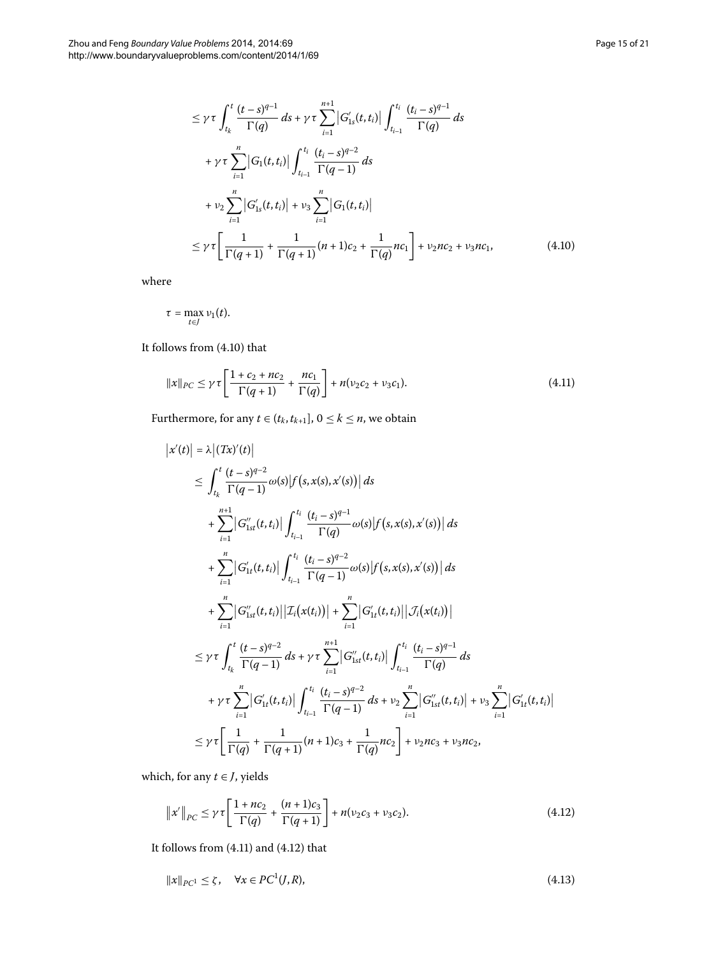<span id="page-14-0"></span>
$$
\leq \gamma \tau \int_{t_k}^{t} \frac{(t-s)^{q-1}}{\Gamma(q)} ds + \gamma \tau \sum_{i=1}^{n+1} |G'_{1s}(t, t_i)| \int_{t_{i-1}}^{t_i} \frac{(t_i - s)^{q-1}}{\Gamma(q)} ds \n+ \gamma \tau \sum_{i=1}^{n} |G_1(t, t_i)| \int_{t_{i-1}}^{t_i} \frac{(t_i - s)^{q-2}}{\Gamma(q-1)} ds \n+ \nu_2 \sum_{i=1}^{n} |G'_{1s}(t, t_i)| + \nu_3 \sum_{i=1}^{n} |G_1(t, t_i)| \n\leq \gamma \tau \left[ \frac{1}{\Gamma(q+1)} + \frac{1}{\Gamma(q+1)} (n+1)c_2 + \frac{1}{\Gamma(q)} nc_1 \right] + \nu_2 nc_2 + \nu_3 nc_1,
$$
\n(4.10)

where

 $\overline{\phantom{a}}$ 

<span id="page-14-1"></span>
$$
\tau = \max_{t \in J} v_1(t).
$$

It follows from  $(4.10)$  that

$$
||x||_{PC} \le \gamma \tau \left[ \frac{1+c_2 + nc_2}{\Gamma(q+1)} + \frac{nc_1}{\Gamma(q)} \right] + n(\nu_2 c_2 + \nu_3 c_1). \tag{4.11}
$$

Furthermore, for any *t* ∈ ( $t_k$ ,  $t_{k+1}$ ],  $0 \le k \le n$ , we obtain

$$
\begin{split}\n\left|x'(t)\right| &= \lambda \left| (Tx)'(t) \right| \\
&\leq \int_{t_k}^{t} \frac{(t-s)^{q-2}}{\Gamma(q-1)} \omega(s) \left| f\left(s, x(s), x'(s)\right) \right| ds \\
&+ \sum_{i=1}^{n+1} \left| G''_{1st}(t, t_i) \right| \int_{t_{i-1}}^{t_i} \frac{(t_i - s)^{q-1}}{\Gamma(q)} \omega(s) \left| f\left(s, x(s), x'(s)\right) \right| ds \\
&+ \sum_{i=1}^{n} \left| G'_{1t}(t, t_i) \right| \int_{t_{i-1}}^{t_i} \frac{(t_i - s)^{q-2}}{\Gamma(q-1)} \omega(s) \left| f\left(s, x(s), x'(s)\right) \right| ds \\
&+ \sum_{i=1}^{n} \left| G''_{1st}(t, t_i) \right| \left| \mathcal{I}_i\left(x(t_i)\right) \right| + \sum_{i=1}^{n} \left| G'_{1t}(t, t_i) \right| \left| \mathcal{J}_i\left(x(t_i)\right) \right| \\
&\leq \gamma \tau \int_{t_k}^{t} \frac{(t - s)^{q-2}}{\Gamma(q-1)} ds + \gamma \tau \sum_{i=1}^{n+1} \left| G''_{1st}(t, t_i) \right| \int_{t_{i-1}}^{t_i} \frac{(t_i - s)^{q-1}}{\Gamma(q)} ds \\
&+ \gamma \tau \sum_{i=1}^{n} \left| G'_{1t}(t, t_i) \right| \int_{t_{i-1}}^{t_i} \frac{(t_i - s)^{q-2}}{\Gamma(q-1)} ds + \nu_2 \sum_{i=1}^{n} \left| G''_{1st}(t, t_i) \right| + \nu_3 \sum_{i=1}^{n} \left| G'_{1t}(t, t_i) \right| \\
&\leq \gamma \tau \left[ \frac{1}{\Gamma(q)} + \frac{1}{\Gamma(q+1)} (n+1)c_3 + \frac{1}{\Gamma(q)} n c_2 \right] + \nu_2 n c_3 + \nu_3 n c_2,\n\end{split}
$$

which, for any  $t \in J$ , yields

<span id="page-14-3"></span><span id="page-14-2"></span>
$$
\|x'\|_{PC} \le \gamma \tau \left[ \frac{1 + nc_2}{\Gamma(q)} + \frac{(n+1)c_3}{\Gamma(q+1)} \right] + n(\nu_2 c_3 + \nu_3 c_2). \tag{4.12}
$$

It follows from  $(4.11)$  and  $(4.12)$  that

$$
||x||_{PC^1} \le \zeta, \quad \forall x \in PC^1(J, R), \tag{4.13}
$$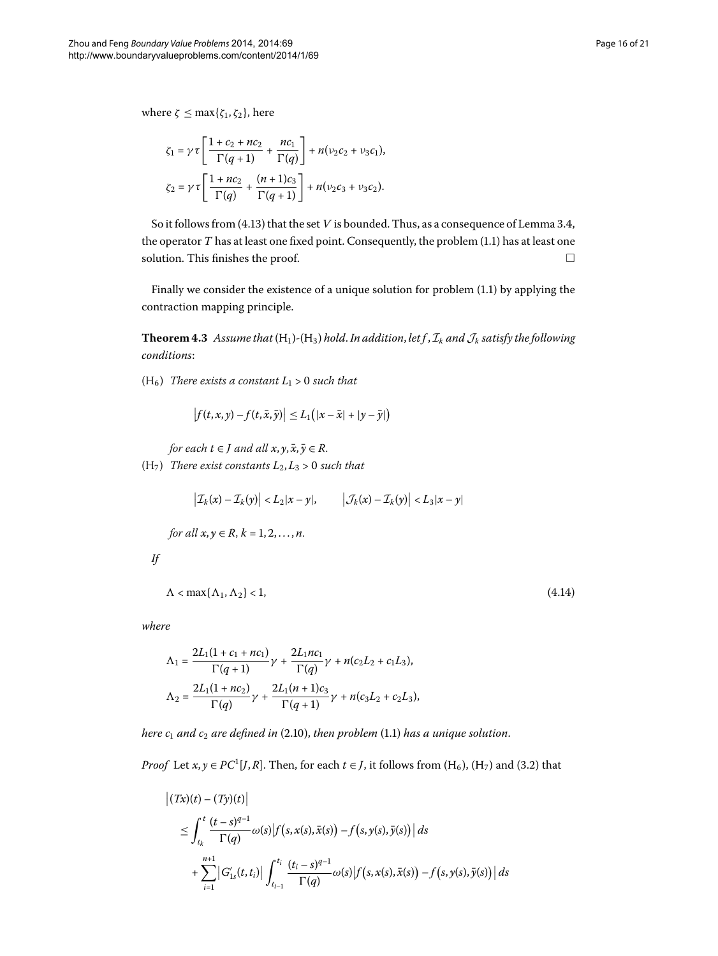$$
\zeta_1 = \gamma \tau \left[ \frac{1 + c_2 + nc_2}{\Gamma(q+1)} + \frac{nc_1}{\Gamma(q)} \right] + n(v_2c_2 + v_3c_1),
$$
  

$$
\zeta_2 = \gamma \tau \left[ \frac{1 + nc_2}{\Gamma(q)} + \frac{(n+1)c_3}{\Gamma(q+1)} \right] + n(v_2c_3 + v_3c_2).
$$

So it follows from  $(4.13)$  that the set *V* is bounded. Thus, as a consequence of Lemma 3.4, the operator  $T$  has at least one fixed point[.](#page-1-0) Consequently, the problem  $(1.1)$  has at least one solution. This finishes the proof.  $\Box$ 

Finally we consider the existence of a unique solution for problem  $(1.1)$  $(1.1)$  $(1.1)$  by applying the contraction mapping principle.

**Theorem 4.3** Assume that  $(H_1)$ - $(H_3)$  hold. In addition, let f,  $\mathcal{I}_k$  and  $\mathcal{J}_k$  satisfy the following *conditions*:

(H<sub>6</sub>) *There exists a constant*  $L_1 > 0$  *such that* 

$$
\left|f(t,x,y)-f(t,\bar{x},\bar{y})\right|\leq L_1\big(|x-\bar{x}|+|y-\bar{y}|\big)
$$

*for each*  $t \in J$  *and all*  $x, y, \overline{x}, \overline{y} \in R$ .

 $(H<sub>7</sub>)$  *There exist constants*  $L<sub>2</sub>, L<sub>3</sub> > 0$  *such that* 

<span id="page-15-0"></span>
$$
\left|\mathcal{I}_k(x)-\mathcal{I}_k(y)\right|
$$

for all 
$$
x, y \in R
$$
,  $k = 1, 2, \ldots, n$ .

*If*

$$
\Lambda < \max\{\Lambda_1, \Lambda_2\} < 1,\tag{4.14}
$$

*where*

$$
\begin{aligned} \Lambda_1 &= \frac{2L_1(1+c_1+n c_1)}{\Gamma(q+1)} \gamma + \frac{2L_1n c_1}{\Gamma(q)} \gamma + n(c_2 L_2 + c_1 L_3), \\ \Lambda_2 &= \frac{2L_1(1+n c_2)}{\Gamma(q)} \gamma + \frac{2L_1(n+1) c_3}{\Gamma(q+1)} \gamma + n(c_3 L_2 + c_2 L_3), \end{aligned}
$$

*here c*<sub>1</sub> and *c*<sub>2</sub> are defined in (2[.](#page-1-0)10), then problem (1.1) has a unique solution.

*Proof* Let  $x, y \in PC^1[J, R]$ . Then, for each  $t \in J$ , it follows from  $(H_6)$ ,  $(H_7)$  and (3.2) that

$$
\begin{aligned} \left| (Tx)(t) - (Ty)(t) \right| \\ &\leq \int_{t_k}^t \frac{(t - s)^{q - 1}}{\Gamma(q)} \omega(s) \left| f\left(s, x(s), \bar{x}(s)\right) - f\left(s, y(s), \bar{y}(s)\right) \right| ds \\ &+ \sum_{i = 1}^{n + 1} \left| G'_{1s}(t, t_i) \right| \int_{t_{i - 1}}^{t_i} \frac{(t_i - s)^{q - 1}}{\Gamma(q)} \omega(s) \left| f\left(s, x(s), \bar{x}(s)\right) - f\left(s, y(s), \bar{y}(s)\right) \right| ds \end{aligned}
$$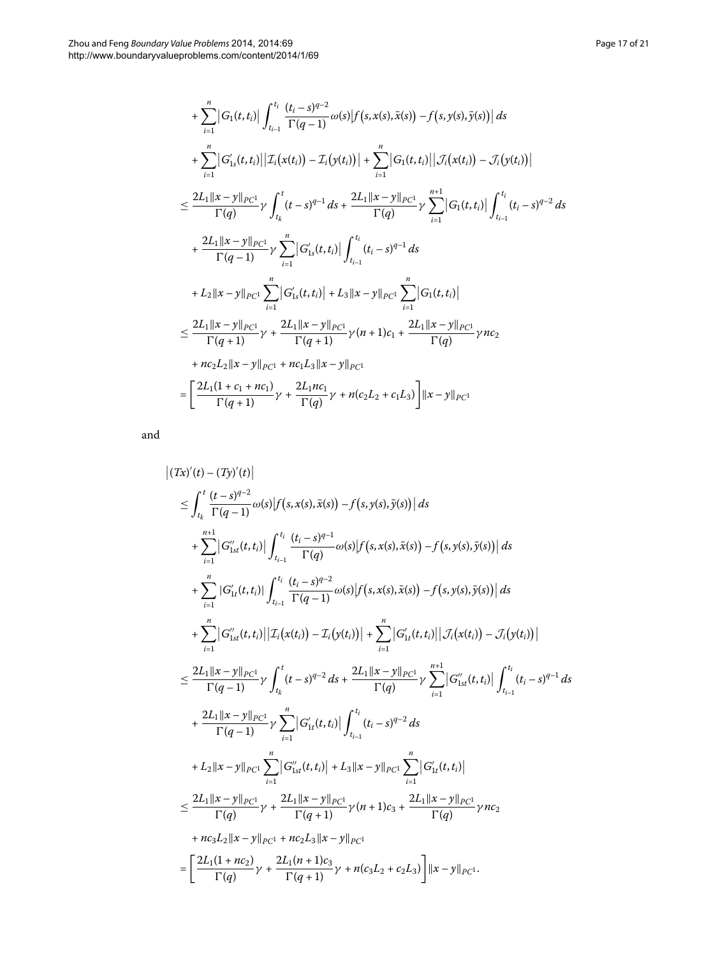$$
+\sum_{i=1}^{n} |G_{1}(t,t_{i})| \int_{t_{i-1}}^{t_{i}} \frac{(t_{i}-s)^{q-2}}{\Gamma(q-1)} \omega(s) |f(s,x(s),\bar{x}(s)) - f(s,y(s),\bar{y}(s))| ds
$$
  
+ 
$$
\sum_{i=1}^{n} |G'_{1s}(t,t_{i})| | \mathcal{I}_{i}(x(t_{i})) - \mathcal{I}_{i}(y(t_{i}))| + \sum_{i=1}^{n} |G_{1}(t,t_{i})| | \mathcal{J}_{i}(x(t_{i})) - \mathcal{J}_{i}(y(t_{i}))|
$$
  

$$
\leq \frac{2L_{1} ||x-y||_{PC^{1}}}{\Gamma(q)} \gamma \int_{t_{k}}^{t} (t-s)^{q-1} ds + \frac{2L_{1} ||x-y||_{PC^{1}}}{\Gamma(q)} \gamma \sum_{i=1}^{n+1} |G_{1}(t,t_{i})| \int_{t_{i-1}}^{t_{i}} (t_{i}-s)^{q-2} ds
$$
  
+ 
$$
\frac{2L_{1} ||x-y||_{PC^{1}}}{\Gamma(q-1)} \gamma \sum_{i=1}^{n} |G'_{1s}(t,t_{i})| \int_{t_{i-1}}^{t_{i}} (t_{i}-s)^{q-1} ds
$$
  
+ 
$$
L_{2} ||x-y||_{PC^{1}} \sum_{i=1}^{n} |G'_{1s}(t,t_{i})| + L_{3} ||x-y||_{PC^{1}} \sum_{i=1}^{n} |G_{1}(t,t_{i})|
$$
  

$$
\leq \frac{2L_{1} ||x-y||_{PC^{1}}}{\Gamma(q+1)} \gamma + \frac{2L_{1} ||x-y||_{PC^{1}}}{\Gamma(q+1)} \gamma(n+1)c_{1} + \frac{2L_{1} ||x-y||_{PC^{1}}}{\Gamma(q)} \gamma nc_{2}
$$
  
+ 
$$
nc_{2}L_{2} ||x-y||_{PC^{1}} + nc_{1}L_{3} ||x-y||_{PC^{1}}
$$
  
= 
$$
\left[ \frac{2L_{1}(1+c_{1}+nc_{1})}{\Gamma(q+1)} \gamma + \frac{2L_{1}nc_{1}}{\Gamma(q)} \gamma + n(c_{2}L_{2}+c_{1}L_{3}) \right] ||x-y||_{PC^{1}}
$$

and

$$
\begin{split}\n&|\langle Tx \rangle'(t) - \langle Ty \rangle'(t)| \\
&\leq \int_{t_k}^{t} \frac{(t-s)^{q-2}}{\Gamma(q-1)} \omega(s) |f(s, x(s), \bar{x}(s)) - f(s, y(s), \bar{y}(s))| ds \\
&+ \sum_{i=1}^{n+1} |G_{1st}''(t, t_i)| \int_{t_{i-1}}^{t_i} \frac{(t_i - s)^{q-1}}{\Gamma(q)} \omega(s) |f(s, x(s), \bar{x}(s)) - f(s, y(s), \bar{y}(s))| ds \\
&+ \sum_{i=1}^{n} |G_{1t}'(t, t_i)| \int_{t_{i-1}}^{t_i} \frac{(t_i - s)^{q-2}}{\Gamma(q-1)} \omega(s) |f(s, x(s), \bar{x}(s)) - f(s, y(s), \bar{y}(s))| ds \\
&+ \sum_{i=1}^{n} |G_{1st}''(t, t_i)| |Z_i(x(t_i)) - \mathcal{I}_i(y(t_i))| + \sum_{i=1}^{n} |G_{1t}'(t, t_i)| |\mathcal{J}_i(x(t_i)) - \mathcal{J}_i(y(t_i))| \\
&\leq \frac{2L_1 ||x - y||_{PC1}}{\Gamma(q-1)} \gamma \int_{t_k}^{t} (t - s)^{q-2} ds + \frac{2L_1 ||x - y||_{PC1}}{\Gamma(q)} \gamma \sum_{i=1}^{n+1} |G_{1st}''(t, t_i)| \int_{t_{i-1}}^{t_i} (t_i - s)^{q-1} ds \\
&+ \frac{2L_1 ||x - y||_{PC1}}{\Gamma(q-1)} \gamma \sum_{i=1}^{n} |G_{1st}''(t, t_i)| \int_{t_{i-1}}^{t_i} (t_i - s)^{q-2} ds \\
&+ L_2 ||x - y||_{PC1} \sum_{i=1}^{n} |G_{1st}''(t, t_i)| + L_3 ||x - y||_{PC1} \sum_{i=1}^{n} |G_{1t}'(t, t_i)| \\
&\leq \frac{2L_1 ||x - y||_{PC1}}{\Gamma(q)} \gamma + \frac{2L_1 ||x - y||_{PC1}}{\Gamma(q+1)} \gamma(n+1) c_3 + \frac{2L_1 ||x - y||_{PC1}}{\Gamma(q)} \gamma nc_2 \\
&+ nc_3 L_2 ||x - y||_{PC1} + nc_2 L_3 ||x - y||_{PC1} \\
&= \left[ \frac{
$$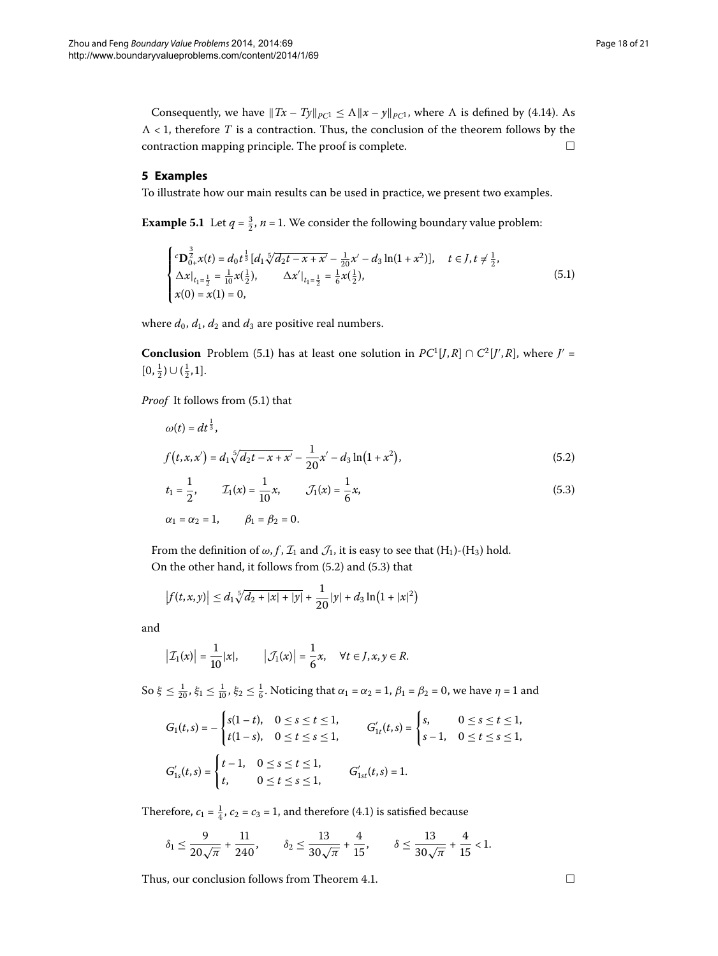Consequently, we have  $||Tx - Ty||_{PC^1} \le \Lambda ||x - y||_{PC^1}$ , where  $\Lambda$  is defined by (4.14). As  $\Lambda$  < 1, therefore *T* is a contraction. Thus, the conclusion of the theorem follows by the contraction mapping principle. The proof is complete.  $\Box$ 

#### **5 Examples**

To illustrate how our main results can be used in practice, we present two examples.

**Example 5.1** Let  $q = \frac{3}{2}$ ,  $n = 1$ . We consider the following boundary value problem:

<span id="page-17-1"></span><span id="page-17-0"></span>
$$
\begin{cases} \n^{c} \mathbf{D}_{0+}^{\frac{3}{2}} \mathbf{x}(t) = d_0 t^{\frac{1}{3}} \left[ d_1 \sqrt[5]{d_2 t - x + x'} - \frac{1}{20} x' - d_3 \ln(1 + x^2) \right], & t \in J, t \neq \frac{1}{2}, \\
\Delta x \big|_{t_1 = \frac{1}{2}} = \frac{1}{10} x(\frac{1}{2}), & \Delta x' \big|_{t_1 = \frac{1}{2}} = \frac{1}{6} x(\frac{1}{2}), \\
x(0) = x(1) = 0,\n\end{cases} \tag{5.1}
$$

where  $d_0$ ,  $d_1$ ,  $d_2$  and  $d_3$  are positive real numbers.

**Conclusion** Problem (5[.](#page-17-0)1) has at least one solution in  $PC^1[J,R] \cap C^2[J',R]$ , where  $J' =$  $[0, \frac{1}{2}) \cup (\frac{1}{2}, 1].$ 

*Proof* It follows from (5.1) that

<span id="page-17-2"></span>
$$
\omega(t) = dt^{\frac{1}{3}},
$$
  

$$
f(t, x, x') = d_1 \sqrt[5]{d_2 t - x + x'} - \frac{1}{20} x' - d_3 \ln(1 + x^2),
$$
 (5.2)

$$
t_1 = \frac{1}{2}
$$
,  $\mathcal{I}_1(x) = \frac{1}{10}x$ ,  $\mathcal{J}_1(x) = \frac{1}{6}x$ , (5.3)

 $\alpha_1 = \alpha_2 = 1,$   $\beta_1 = \beta_2 = 0.$ 

From the definition of  $\omega$ , *f*,  $\mathcal{I}_1$  and  $\mathcal{I}_1$ , it is easy to see that  $(H_1)$ - $(H_3)$  hold. On the other hand, it follows from  $(5.2)$  and  $(5.3)$  that

$$
\left|f(t,x,y)\right| \leq d_1 \sqrt[5]{d_2 + |x| + |y|} + \frac{1}{20}|y| + d_3 \ln\left(1 + |x|^2\right)
$$

and

$$
\left|\mathcal{I}_1(x)\right|=\frac{1}{10}|x|,\qquad \left|\mathcal{J}_1(x)\right|=\frac{1}{6}x,\quad \forall t\in J, x,y\in R.
$$

So  $\xi \le \frac{1}{20}$ ,  $\xi_1 \le \frac{1}{10}$ ,  $\xi_2 \le \frac{1}{6}$ . Noticing that  $\alpha_1 = \alpha_2 = 1$ ,  $\beta_1 = \beta_2 = 0$ , we have  $\eta = 1$  and

$$
G_1(t,s) = -\begin{cases} s(1-t), & 0 \le s \le t \le 1, \\ t(1-s), & 0 \le t \le s \le 1, \\ t, & 0 \le t \le t \le 1, \end{cases} \qquad G'_{1t}(t,s) = \begin{cases} s, & 0 \le s \le t \le 1, \\ s-1, & 0 \le t \le s \le 1, \\ t, & 0 \le t \le s \le 1, \end{cases}
$$

Therefore,  $c_1 = \frac{1}{4}$ ,  $c_2 = c_3 = 1$ , and therefore (4.1) is satisfied because

$$
\delta_1 \leq \frac{9}{20\sqrt{\pi}} + \frac{11}{240}, \qquad \delta_2 \leq \frac{13}{30\sqrt{\pi}} + \frac{4}{15}, \qquad \delta \leq \frac{13}{30\sqrt{\pi}} + \frac{4}{15} < 1.
$$

Thus, our conclusion follows from Theorem 4[.](#page-9-6)1.  $\Box$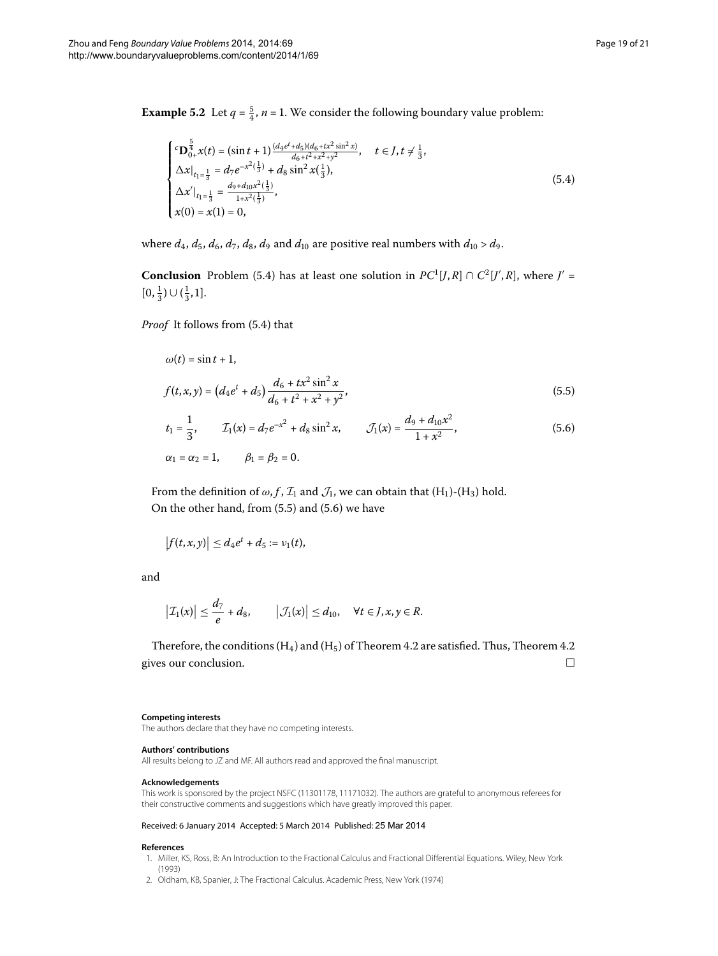**Example 5.2** Let  $q = \frac{5}{4}$ ,  $n = 1$ . We consider the following boundary value problem:

<span id="page-18-1"></span>
$$
\begin{cases} {}^{c}\mathbf{D}_{0+}^{\frac{5}{4}}x(t) = (\sin t + 1)\frac{(d_{4}e^{t} + d_{5})(d_{6} + tx^{2} \sin^{2} x)}{d_{6} + t^{2} + x^{2} + y^{2}}, & t \in J, t \neq \frac{1}{3}, \\ \Delta x|_{t_{1} = \frac{1}{3}} = d_{7}e^{-x^{2}(\frac{1}{3})} + d_{8} \sin^{2} x(\frac{1}{3}), \\ \Delta x'|_{t_{1} = \frac{1}{3}} = \frac{d_{9} + d_{10}x^{2}(\frac{1}{3})}{1 + x^{2}(\frac{1}{3})}, \\ x(0) = x(1) = 0, \end{cases}
$$
\n(5.4)

where  $d_4$ ,  $d_5$ ,  $d_6$ ,  $d_7$ ,  $d_8$ ,  $d_9$  and  $d_{10}$  are positive real numbers with  $d_{10} > d_9$ .

**Conclusion** Problem (5[.](#page-18-1)4) has at least one solution in  $PC^1[J, R] \cap C^2[J', R]$ , where  $J' =$  $[0, \frac{1}{3}) \cup (\frac{1}{3}, 1].$ 

*Proof* It follows from (5.4) that

<span id="page-18-3"></span><span id="page-18-2"></span>
$$
\omega(t) = \sin t + 1,
$$
  
\n
$$
f(t, x, y) = (d_4 e^t + d_5) \frac{d_6 + tx^2 \sin^2 x}{d_6 + t^2 + x^2 + y^2},
$$
  
\n
$$
t_1 = \frac{1}{3}, \qquad \mathcal{I}_1(x) = d_7 e^{-x^2} + d_8 \sin^2 x, \qquad \mathcal{J}_1(x) = \frac{d_9 + d_{10} x^2}{1 + x^2},
$$
  
\n
$$
\alpha_1 = \alpha_2 = 1, \qquad \beta_1 = \beta_2 = 0.
$$
\n(5.6)

From the definition of  $\omega$ , *f*,  $\mathcal{I}_1$  and  $\mathcal{J}_1$ , we can obtain that (H<sub>1</sub>)-(H<sub>3</sub>) hold. On the other hand, from  $(5.5)$  and  $(5.6)$  we have

$$
\big|f(t,x,y)\big|\leq d_4e^t+d_5:=\nu_1(t),
$$

and

$$
\left|\mathcal{I}_1(x)\right|\leq \frac{d_7}{e}+d_8,\qquad \left|\mathcal{J}_1(x)\right|\leq d_{10},\quad \forall t\in J, x,y\in R.
$$

Therefore, the conditions (H<sub>4</sub>) and (H<sub>5</sub>) of Theorem 4[.](#page-12-1)2 are satisfied. Thus, Theorem 4.2 gives our conclusion.  $\Box$ 

#### **Competing interests**

The authors declare that they have no competing interests.

#### <span id="page-18-0"></span>**Authors' contributions**

All results belong to JZ and MF. All authors read and approved the final manuscript.

#### **Acknowledgements**

This work is sponsored by the project NSFC (11301178, 11171032). The authors are grateful to anonymous referees for their constructive comments and suggestions which have greatly improved this paper.

#### Received: 6 January 2014 Accepted: 5 March 2014 Published: 25 Mar 2014

#### **References**

- 1. Miller, KS, Ross, B: An Introduction to the Fractional Calculus and Fractional Differential Equations. Wiley, New York (1993)
- 2. Oldham, KB, Spanier, J: The Fractional Calculus. Academic Press, New York (1974)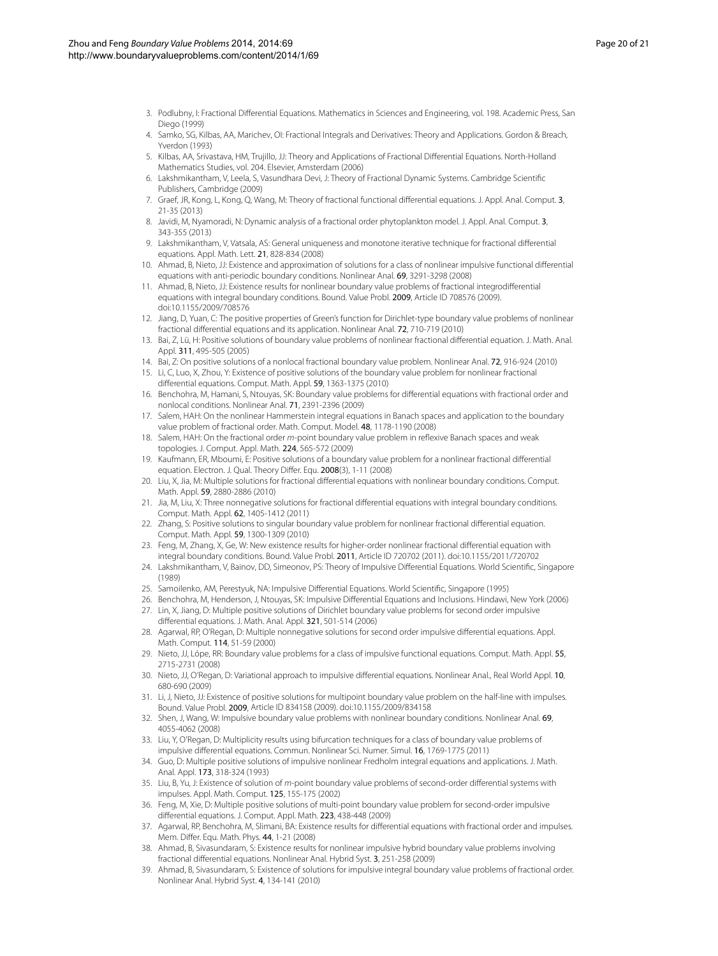- <span id="page-19-2"></span><span id="page-19-1"></span><span id="page-19-0"></span>3. Podlubny, I: Fractional Differential Equations. Mathematics in Sciences and Engineering, vol. 198. Academic Press, San Diego (1999)
- 4. Samko, SG, Kilbas, AA, Marichev, OI: Fractional Integrals and Derivatives: Theory and Applications. Gordon & Breach, Yverdon (1993)
- 5. Kilbas, AA, Srivastava, HM, Trujillo, JJ: Theory and Applications of Fractional Differential Equations. North-Holland Mathematics Studies, vol. 204. Elsevier, Amsterdam (2006)
- 6. Lakshmikantham, V, Leela, S, Vasundhara Devi, J: Theory of Fractional Dynamic Systems. Cambridge Scientific Publishers, Cambridge (2009)
- 7. Graef, JR, Kong, L, Kong, Q, Wang, M: Theory of fractional functional differential equations. J. Appl. Anal. Comput. 3, 21-35 (2013)
- <span id="page-19-11"></span>8. Javidi, M, Nyamoradi, N: Dynamic analysis of a fractional order phytoplankton model. J. Appl. Anal. Comput. 3, 343-355 (2013)
- 9. Lakshmikantham, V, Vatsala, AS: General uniqueness and monotone iterative technique for fractional differential equations. Appl. Math. Lett. 21, 828-834 (2008)
- 10. Ahmad, B, Nieto, JJ: Existence and approximation of solutions for a class of nonlinear impulsive functional differential equations with anti-periodic boundary conditions. Nonlinear Anal. 69, 3291-3298 (2008)
- 11. Ahmad, B, Nieto, JJ: Existence results for nonlinear boundary value problems of fractional integrodifferential equations with integral boundary conditions. Bound. Value Probl. 2009, Article ID 708576 (2009). doi[:10.1155/2009/708576](http://dx.doi.org/10.1155/2009/708576)
- 12. Jiang, D, Yuan, C: The positive properties of Green's function for Dirichlet-type boundary value problems of nonlinear fractional differential equations and its application. Nonlinear Anal. 72, 710-719 (2010)
- 13. Bai, Z, Lü, H: Positive solutions of boundary value problems of nonlinear fractional differential equation. J. Math. Anal. Appl. 311, 495-505 (2005)
- 14. Bai, Z: On positive solutions of a nonlocal fractional boundary value problem. Nonlinear Anal. 72, 916-924 (2010)
- 15. Li, C, Luo, X, Zhou, Y: Existence of positive solutions of the boundary value problem for nonlinear fractional differential equations. Comput. Math. Appl. 59, 1363-1375 (2010)
- 16. Benchohra, M, Hamani, S, Ntouyas, SK: Boundary value problems for differential equations with fractional order and nonlocal conditions. Nonlinear Anal. 71, 2391-2396 (2009)
- 17. Salem, HAH: On the nonlinear Hammerstein integral equations in Banach spaces and application to the boundary value problem of fractional order. Math. Comput. Model. 48, 1178-1190 (2008)
- <span id="page-19-3"></span>18. Salem, HAH: On the fractional order m-point boundary value problem in reflexive Banach spaces and weak topologies. J. Comput. Appl. Math. 224, 565-572 (2009)
- <span id="page-19-4"></span>19. Kaufmann, ER, Mboumi, E: Positive solutions of a boundary value problem for a nonlinear fractional differential equation. Electron. J. Qual. Theory Differ. Equ. 2008(3), 1-11 (2008)
- 20. Liu, X, Jia, M: Multiple solutions for fractional differential equations with nonlinear boundary conditions. Comput. Math. Appl. 59, 2880-2886 (2010)
- <span id="page-19-6"></span><span id="page-19-5"></span>21. Jia, M, Liu, X: Three nonnegative solutions for fractional differential equations with integral boundary conditions. Comput. Math. Appl. 62, 1405-1412 (2011)
- 22. Zhang, S: Positive solutions to singular boundary value problem for nonlinear fractional differential equation. Comput. Math. Appl. 59, 1300-1309 (2010)
- 23. Feng, M, Zhang, X, Ge, W: New existence results for higher-order nonlinear fractional differential equation with integral boundary conditions. Bound. Value Probl. 2011, Article ID 720702 (2011). doi[:10.1155/2011/720702](http://dx.doi.org/10.1155/2011/720702)
- 24. Lakshmikantham, V, Bainov, DD, Simeonov, PS: Theory of Impulsive Differential Equations. World Scientific, Singapore (1989)
- 25. Samoilenko, AM, Perestyuk, NA: Impulsive Differential Equations. World Scientific, Singapore (1995)
- 26. Benchohra, M, Henderson, J, Ntouyas, SK: Impulsive Differential Equations and Inclusions. Hindawi, New York (2006)
- 27. Lin, X, Jiang, D: Multiple positive solutions of Dirichlet boundary value problems for second order impulsive
- differential equations. J. Math. Anal. Appl. 321, 501-514 (2006) 28. Agarwal, RP, O'Regan, D: Multiple nonnegative solutions for second order impulsive differential equations. Appl. Math. Comput. 114, 51-59 (2000)
- 29. Nieto, JJ, Lópe, RR: Boundary value problems for a class of impulsive functional equations. Comput. Math. Appl. 55, 2715-2731 (2008)
- 30. Nieto, JJ, O'Regan, D: Variational approach to impulsive differential equations. Nonlinear Anal., Real World Appl. 10, 680-690 (2009)
- <span id="page-19-7"></span>31. Li, J, Nieto, JJ: Existence of positive solutions for multipoint boundary value problem on the half-line with impulses. Bound. Value Probl. 2009, Article ID 834158 (2009). doi:[10.1155/2009/834158](http://dx.doi.org/10.1155/2009/834158)
- <span id="page-19-8"></span>32. Shen, J, Wang, W: Impulsive boundary value problems with nonlinear boundary conditions. Nonlinear Anal. 69, 4055-4062 (2008)
- <span id="page-19-9"></span>33. Liu, Y, O'Regan, D: Multiplicity results using bifurcation techniques for a class of boundary value problems of impulsive differential equations. Commun. Nonlinear Sci. Numer. Simul. 16, 1769-1775 (2011)
- <span id="page-19-10"></span>34. Guo, D: Multiple positive solutions of impulsive nonlinear Fredholm integral equations and applications. J. Math. Anal. Appl. 173, 318-324 (1993)
- 35. Liu, B, Yu, J: Existence of solution of m-point boundary value problems of second-order differential systems with impulses. Appl. Math. Comput. 125, 155-175 (2002)
- 36. Feng, M, Xie, D: Multiple positive solutions of multi-point boundary value problem for second-order impulsive differential equations. J. Comput. Appl. Math. 223, 438-448 (2009)
- 37. Agarwal, RP, Benchohra, M, Slimani, BA: Existence results for differential equations with fractional order and impulses. Mem. Differ. Equ. Math. Phys. 44, 1-21 (2008)
- 38. Ahmad, B, Sivasundaram, S: Existence results for nonlinear impulsive hybrid boundary value problems involving fractional differential equations. Nonlinear Anal. Hybrid Syst. 3, 251-258 (2009)
- 39. Ahmad, B, Sivasundaram, S: Existence of solutions for impulsive integral boundary value problems of fractional order. Nonlinear Anal. Hybrid Syst. 4, 134-141 (2010)